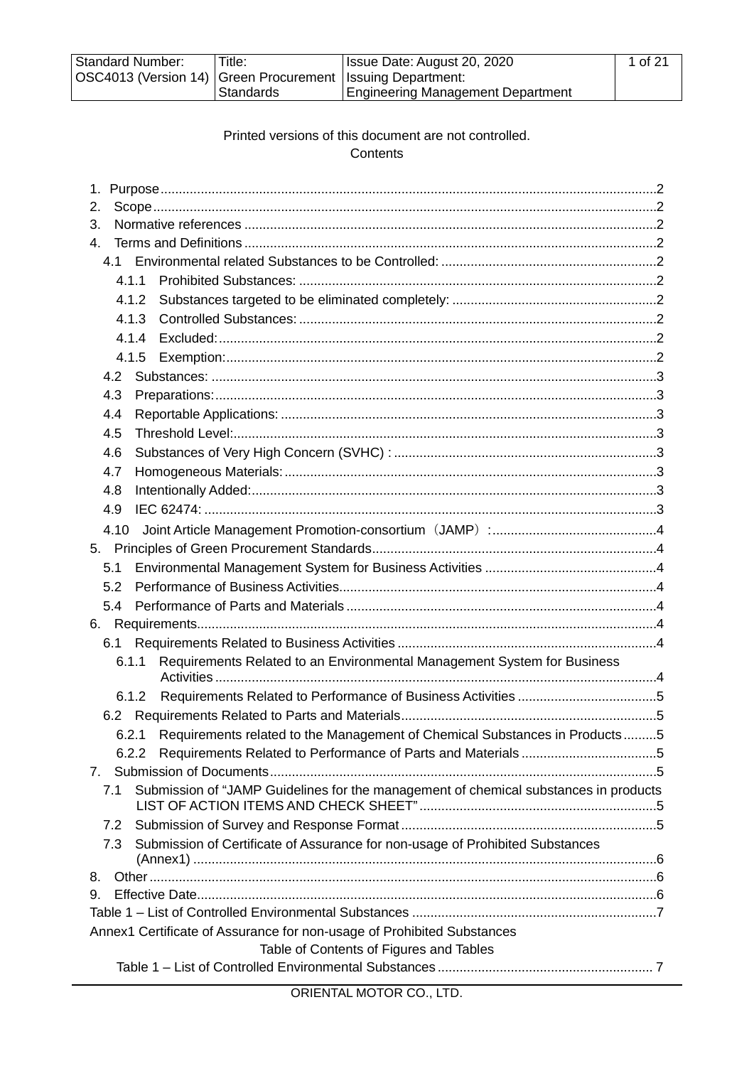| <b>Standard Number:</b>                                        | 'Title:    | Issue Date: August 20, 2020              | 1 of 21 |
|----------------------------------------------------------------|------------|------------------------------------------|---------|
| OSC4013 (Version 14)   Green Procurement   Issuing Department: |            |                                          |         |
|                                                                | ⊦Standards | <b>Engineering Management Department</b> |         |

## Printed versions of this document are not controlled. **Contents**

| 1.                                                                                          |
|---------------------------------------------------------------------------------------------|
| 2.                                                                                          |
| 3.                                                                                          |
| $\mathbf{4}$                                                                                |
| 4.1                                                                                         |
| 4.1.1                                                                                       |
| 4.1.2                                                                                       |
| 4.1.3                                                                                       |
| 4.1.4                                                                                       |
| 4.1.5                                                                                       |
| 4.2                                                                                         |
| 4.3                                                                                         |
| 4.4                                                                                         |
| 4.5                                                                                         |
| 4.6                                                                                         |
| 4.7                                                                                         |
| 4.8                                                                                         |
| 4.9                                                                                         |
| 4.10                                                                                        |
| 5.                                                                                          |
| 5.1                                                                                         |
| 5.2                                                                                         |
| 5.4                                                                                         |
| 6.                                                                                          |
| 6.1                                                                                         |
| Requirements Related to an Environmental Management System for Business<br>6.1.1            |
|                                                                                             |
| 6.1.2                                                                                       |
| 6.2                                                                                         |
| 6.2.1 Requirements related to the Management of Chemical Substances in Products5            |
|                                                                                             |
| 7.                                                                                          |
| Submission of "JAMP Guidelines for the management of chemical substances in products<br>7.1 |
| 7.2                                                                                         |
| Submission of Certificate of Assurance for non-usage of Prohibited Substances<br>7.3        |
| 8.                                                                                          |
| 9.                                                                                          |
|                                                                                             |
| Annex1 Certificate of Assurance for non-usage of Prohibited Substances                      |
| Table of Contents of Figures and Tables                                                     |
|                                                                                             |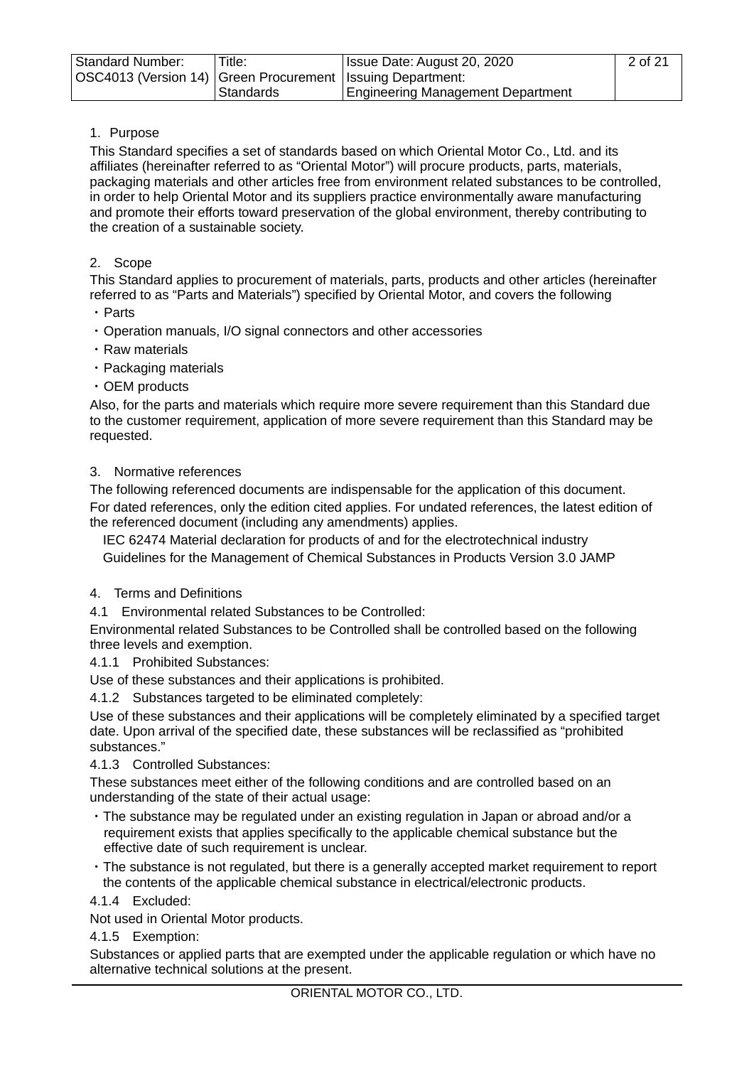| <b>Standard Number:</b>                                        | Title:    | Issue Date: August 20, 2020              | 2 of 21 |
|----------------------------------------------------------------|-----------|------------------------------------------|---------|
| OSC4013 (Version 14)   Green Procurement   Issuing Department: |           |                                          |         |
|                                                                | Standards | <b>Engineering Management Department</b> |         |

# <span id="page-1-0"></span>1. Purpose

This Standard specifies a set of standards based on which Oriental Motor Co., Ltd. and its affiliates (hereinafter referred to as "Oriental Motor") will procure products, parts, materials, packaging materials and other articles free from environment related substances to be controlled, in order to help Oriental Motor and its suppliers practice environmentally aware manufacturing and promote their efforts toward preservation of the global environment, thereby contributing to the creation of a sustainable society.

## <span id="page-1-1"></span>2. Scope

This Standard applies to procurement of materials, parts, products and other articles (hereinafter referred to as "Parts and Materials") specified by Oriental Motor, and covers the following

- ・Parts
- ・Operation manuals, I/O signal connectors and other accessories
- ・Raw materials
- ・Packaging materials
- ・OEM products

Also, for the parts and materials which require more severe requirement than this Standard due to the customer requirement, application of more severe requirement than this Standard may be requested.

# <span id="page-1-2"></span>3. Normative references

The following referenced documents are indispensable for the application of this document. For dated references, only the edition cited applies. For undated references, the latest edition of the referenced document (including any amendments) applies.

 IEC 62474 Material declaration for products of and for the electrotechnical industry Guidelines for the Management of Chemical Substances in Products Version 3.0 JAMP

#### <span id="page-1-3"></span>4. Terms and Definitions

<span id="page-1-4"></span>4.1 Environmental related Substances to be Controlled:

Environmental related Substances to be Controlled shall be controlled based on the following three levels and exemption.

<span id="page-1-5"></span>4.1.1 Prohibited Substances:

Use of these substances and their applications is prohibited.

<span id="page-1-6"></span>4.1.2 Substances targeted to be eliminated completely:

Use of these substances and their applications will be completely eliminated by a specified target date. Upon arrival of the specified date, these substances will be reclassified as "prohibited substances."

#### <span id="page-1-7"></span>4.1.3 Controlled Substances:

These substances meet either of the following conditions and are controlled based on an understanding of the state of their actual usage:

- ・The substance may be regulated under an existing regulation in Japan or abroad and/or a requirement exists that applies specifically to the applicable chemical substance but the effective date of such requirement is unclear.
- ・The substance is not regulated, but there is a generally accepted market requirement to report the contents of the applicable chemical substance in electrical/electronic products.

#### <span id="page-1-8"></span>4.1.4 Excluded:

Not used in Oriental Motor products.

#### <span id="page-1-9"></span>4.1.5 Exemption:

Substances or applied parts that are exempted under the applicable regulation or which have no alternative technical solutions at the present.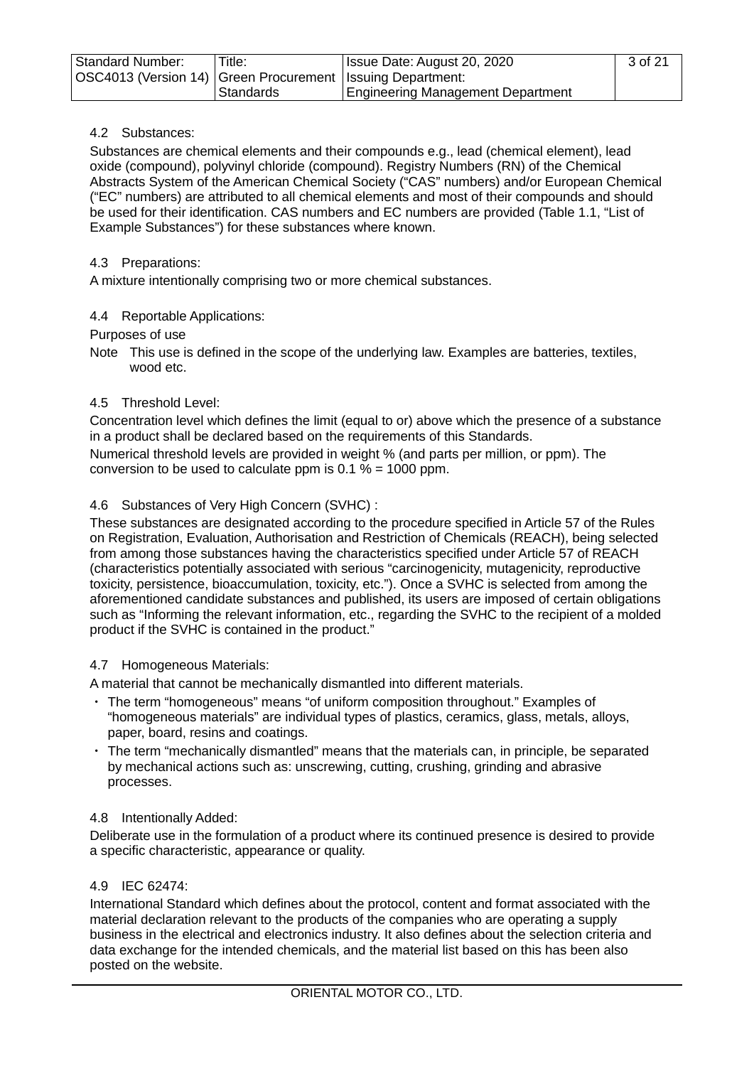| <b>Standard Number:</b>                                      | Title:    | Issue Date: August 20, 2020              | 3 of 21 |
|--------------------------------------------------------------|-----------|------------------------------------------|---------|
| OSC4013 (Version 14) Green Procurement   Issuing Department: |           |                                          |         |
|                                                              | Standards | <b>Engineering Management Department</b> |         |

## <span id="page-2-0"></span>4.2 Substances:

Substances are chemical elements and their compounds e.g., lead (chemical element), lead oxide (compound), polyvinyl chloride (compound). Registry Numbers (RN) of the Chemical Abstracts System of the American Chemical Society ("CAS" numbers) and/or European Chemical ("EC" numbers) are attributed to all chemical elements and most of their compounds and should be used for their identification. CAS numbers and EC numbers are provided (Table 1.1, "List of Example Substances") for these substances where known.

## <span id="page-2-1"></span>4.3 Preparations:

A mixture intentionally comprising two or more chemical substances.

# <span id="page-2-2"></span>4.4 Reportable Applications:

Purposes of use

Note This use is defined in the scope of the underlying law. Examples are batteries, textiles, wood etc.

# <span id="page-2-3"></span>4.5 Threshold Level:

Concentration level which defines the limit (equal to or) above which the presence of a substance in a product shall be declared based on the requirements of this Standards.

Numerical threshold levels are provided in weight % (and parts per million, or ppm). The conversion to be used to calculate ppm is  $0.1\% = 1000$  ppm.

# <span id="page-2-4"></span>4.6 Substances of Very High Concern (SVHC) :

These substances are designated according to the procedure specified in Article 57 of the Rules on Registration, Evaluation, Authorisation and Restriction of Chemicals (REACH), being selected from among those substances having the characteristics specified under Article 57 of REACH (characteristics potentially associated with serious "carcinogenicity, mutagenicity, reproductive toxicity, persistence, bioaccumulation, toxicity, etc."). Once a SVHC is selected from among the aforementioned candidate substances and published, its users are imposed of certain obligations such as "Informing the relevant information, etc., regarding the SVHC to the recipient of a molded product if the SVHC is contained in the product."

#### <span id="page-2-5"></span>4.7 Homogeneous Materials:

A material that cannot be mechanically dismantled into different materials.

- ・ The term "homogeneous" means "of uniform composition throughout." Examples of "homogeneous materials" are individual types of plastics, ceramics, glass, metals, alloys, paper, board, resins and coatings.
- ・ The term "mechanically dismantled" means that the materials can, in principle, be separated by mechanical actions such as: unscrewing, cutting, crushing, grinding and abrasive processes.

#### <span id="page-2-6"></span>4.8 Intentionally Added:

Deliberate use in the formulation of a product where its continued presence is desired to provide a specific characteristic, appearance or quality.

#### <span id="page-2-7"></span>4.9 IEC 62474:

International Standard which defines about the protocol, content and format associated with the material declaration relevant to the products of the companies who are operating a supply business in the electrical and electronics industry. It also defines about the selection criteria and data exchange for the intended chemicals, and the material list based on this has been also posted on the website.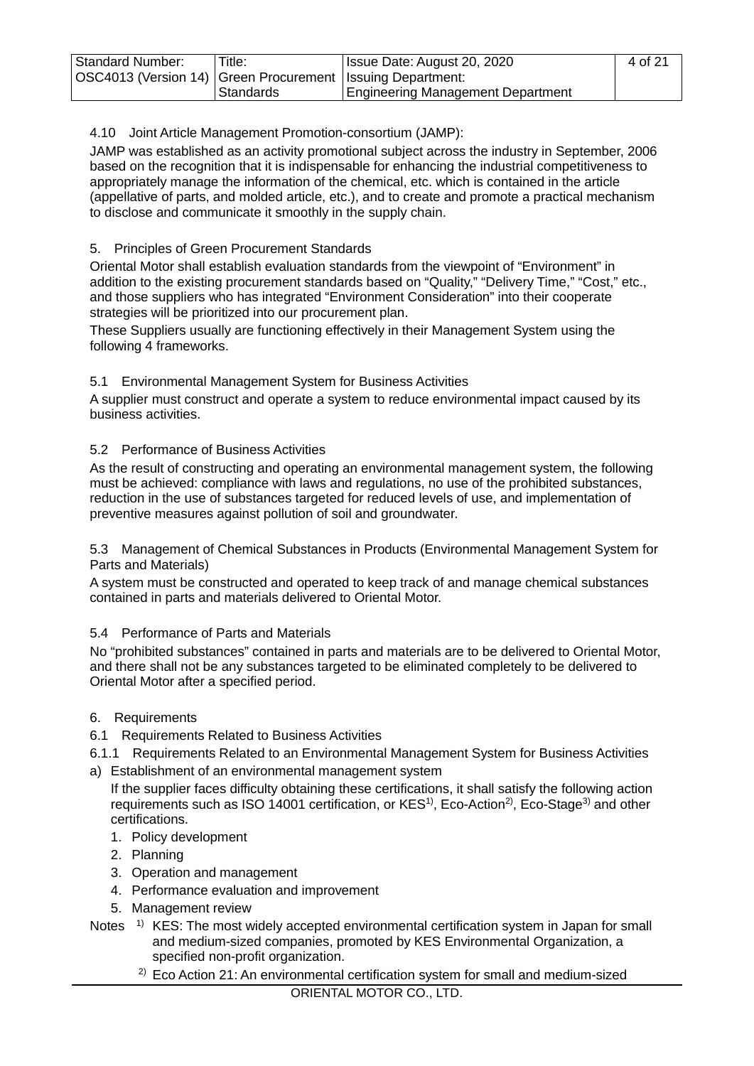| <b>Standard Number:</b>                                      | Title:      | Issue Date: August 20, 2020              | 4 of 21 |
|--------------------------------------------------------------|-------------|------------------------------------------|---------|
| OSC4013 (Version 14) Green Procurement   Issuing Department: |             |                                          |         |
|                                                              | ı Standards | <b>Engineering Management Department</b> |         |

# <span id="page-3-0"></span>4.10 Joint Article Management Promotion-consortium (JAMP):

JAMP was established as an activity promotional subject across the industry in September, 2006 based on the recognition that it is indispensable for enhancing the industrial competitiveness to appropriately manage the information of the chemical, etc. which is contained in the article (appellative of parts, and molded article, etc.), and to create and promote a practical mechanism to disclose and communicate it smoothly in the supply chain.

## <span id="page-3-1"></span>5. Principles of Green Procurement Standards

Oriental Motor shall establish evaluation standards from the viewpoint of "Environment" in addition to the existing procurement standards based on "Quality," "Delivery Time," "Cost," etc., and those suppliers who has integrated "Environment Consideration" into their cooperate strategies will be prioritized into our procurement plan.

These Suppliers usually are functioning effectively in their Management System using the following 4 frameworks.

#### <span id="page-3-2"></span>5.1 Environmental Management System for Business Activities

A supplier must construct and operate a system to reduce environmental impact caused by its business activities.

#### <span id="page-3-3"></span>5.2 Performance of Business Activities

As the result of constructing and operating an environmental management system, the following must be achieved: compliance with laws and regulations, no use of the prohibited substances, reduction in the use of substances targeted for reduced levels of use, and implementation of preventive measures against pollution of soil and groundwater.

5.3 Management of Chemical Substances in Products (Environmental Management System for Parts and Materials)

A system must be constructed and operated to keep track of and manage chemical substances contained in parts and materials delivered to Oriental Motor.

#### <span id="page-3-4"></span>5.4 Performance of Parts and Materials

No "prohibited substances" contained in parts and materials are to be delivered to Oriental Motor, and there shall not be any substances targeted to be eliminated completely to be delivered to Oriental Motor after a specified period.

#### <span id="page-3-5"></span>6. Requirements

- <span id="page-3-6"></span>6.1 Requirements Related to Business Activities
- <span id="page-3-7"></span>6.1.1 Requirements Related to an Environmental Management System for Business Activities a) Establishment of an environmental management system
- If the supplier faces difficulty obtaining these certifications, it shall satisfy the following action requirements such as ISO 14001 certification, or KES<sup>1)</sup>, Eco-Action<sup>2)</sup>, Eco-Stage<sup>3)</sup> and other certifications.
	- 1. Policy development
	- 2. Planning
	- 3. Operation and management
	- 4. Performance evaluation and improvement
	- 5. Management review
- Notes  $1)$  KES: The most widely accepted environmental certification system in Japan for small and medium-sized companies, promoted by KES Environmental Organization, a specified non-profit organization.
	- $2)$  Eco Action 21: An environmental certification system for small and medium-sized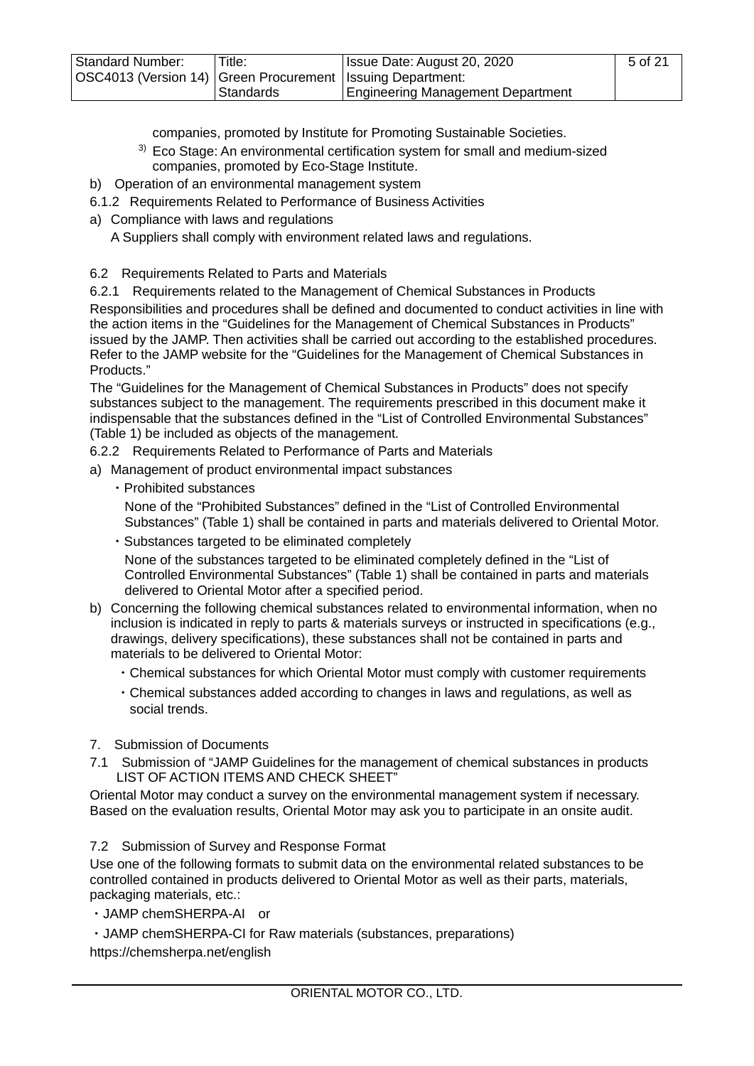| <b>Standard Number:</b>                                        | Title:     | Issue Date: August 20, 2020              | 5 of 21 |
|----------------------------------------------------------------|------------|------------------------------------------|---------|
| OSC4013 (Version 14)   Green Procurement   Issuing Department: |            |                                          |         |
|                                                                | ⊩Standards | <b>Engineering Management Department</b> |         |

- companies, promoted by Institute for Promoting Sustainable Societies.
- <sup>3)</sup> Eco Stage: An environmental certification system for small and medium-sized companies, promoted by Eco-Stage Institute.
- b) Operation of an environmental management system
- <span id="page-4-0"></span>6.1.2 Requirements Related to Performance of Business Activities
- a) Compliance with laws and regulations

A Suppliers shall comply with environment related laws and regulations.

<span id="page-4-1"></span>6.2 Requirements Related to Parts and Materials

<span id="page-4-2"></span>6.2.1 Requirements related to the Management of Chemical Substances in Products Responsibilities and procedures shall be defined and documented to conduct activities in line with the action items in the "Guidelines for the Management of Chemical Substances in Products" issued by the JAMP. Then activities shall be carried out according to the established procedures. Refer to the JAMP website for the "Guidelines for the Management of Chemical Substances in Products."

The "Guidelines for the Management of Chemical Substances in Products" does not specify substances subject to the management. The requirements prescribed in this document make it indispensable that the substances defined in the "List of Controlled Environmental Substances" (Table 1) be included as objects of the management.

<span id="page-4-3"></span>6.2.2 Requirements Related to Performance of Parts and Materials

- a) Management of product environmental impact substances
	- ・Prohibited substances

None of the "Prohibited Substances" defined in the "List of Controlled Environmental Substances" (Table 1) shall be contained in parts and materials delivered to Oriental Motor.

・Substances targeted to be eliminated completely

None of the substances targeted to be eliminated completely defined in the "List of Controlled Environmental Substances" (Table 1) shall be contained in parts and materials delivered to Oriental Motor after a specified period.

- b) Concerning the following chemical substances related to environmental information, when no inclusion is indicated in reply to parts & materials surveys or instructed in specifications (e.g., drawings, delivery specifications), these substances shall not be contained in parts and materials to be delivered to Oriental Motor:
	- ・Chemical substances for which Oriental Motor must comply with customer requirements
	- ・Chemical substances added according to changes in laws and regulations, as well as social trends.
- <span id="page-4-4"></span>7. Submission of Documents
- <span id="page-4-5"></span>7.1 Submission of "JAMP Guidelines for the management of chemical substances in products LIST OF ACTION ITEMS AND CHECK SHEET"

Oriental Motor may conduct a survey on the environmental management system if necessary. Based on the evaluation results, Oriental Motor may ask you to participate in an onsite audit.

<span id="page-4-6"></span>7.2 Submission of Survey and Response Format

Use one of the following formats to submit data on the environmental related substances to be controlled contained in products delivered to Oriental Motor as well as their parts, materials, packaging materials, etc.:

・JAMP chemSHERPA-AI or

・JAMP chemSHERPA-CI for Raw materials (substances, preparations)

https://chemsherpa.net/english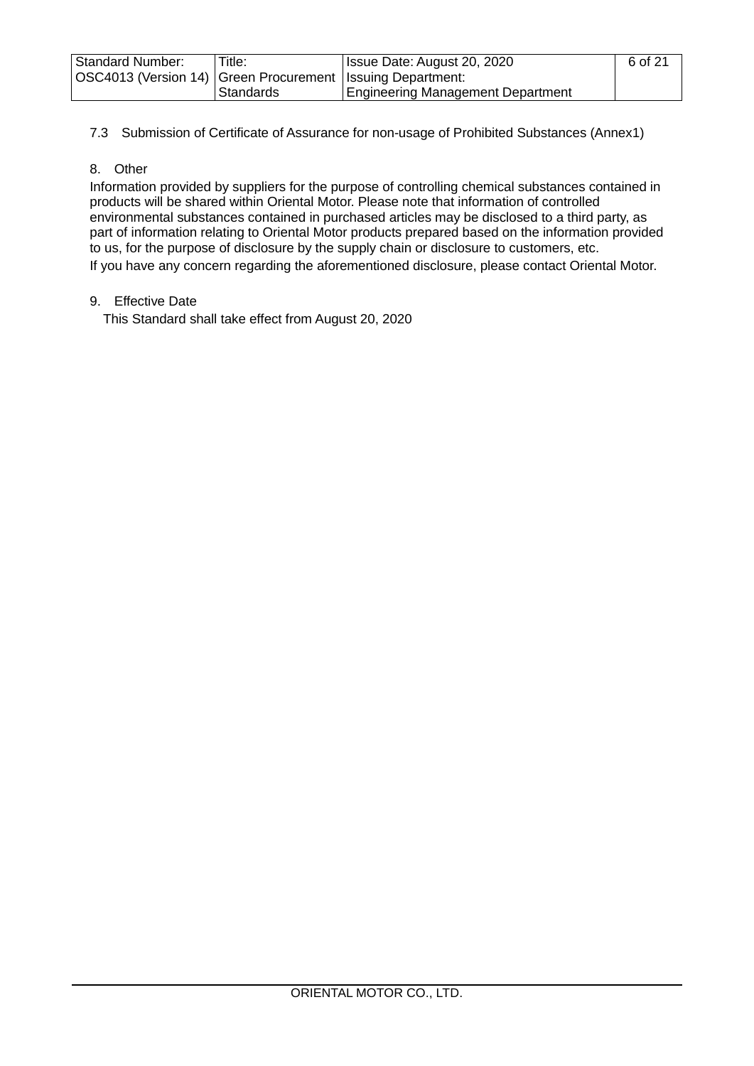| <b>Standard Number:</b>                                        | Title:    | Issue Date: August 20, 2020              | 6 of 21 |
|----------------------------------------------------------------|-----------|------------------------------------------|---------|
| OSC4013 (Version 14)   Green Procurement   Issuing Department: |           |                                          |         |
|                                                                | Standards | <b>Engineering Management Department</b> |         |

<span id="page-5-0"></span>7.3 Submission of Certificate of Assurance for non-usage of Prohibited Substances (Annex1)

## <span id="page-5-1"></span>8. Other

Information provided by suppliers for the purpose of controlling chemical substances contained in products will be shared within Oriental Motor. Please note that information of controlled environmental substances contained in purchased articles may be disclosed to a third party, as part of information relating to Oriental Motor products prepared based on the information provided to us, for the purpose of disclosure by the supply chain or disclosure to customers, etc. If you have any concern regarding the aforementioned disclosure, please contact Oriental Motor.

#### <span id="page-5-2"></span>9. Effective Date

This Standard shall take effect from August 20, 2020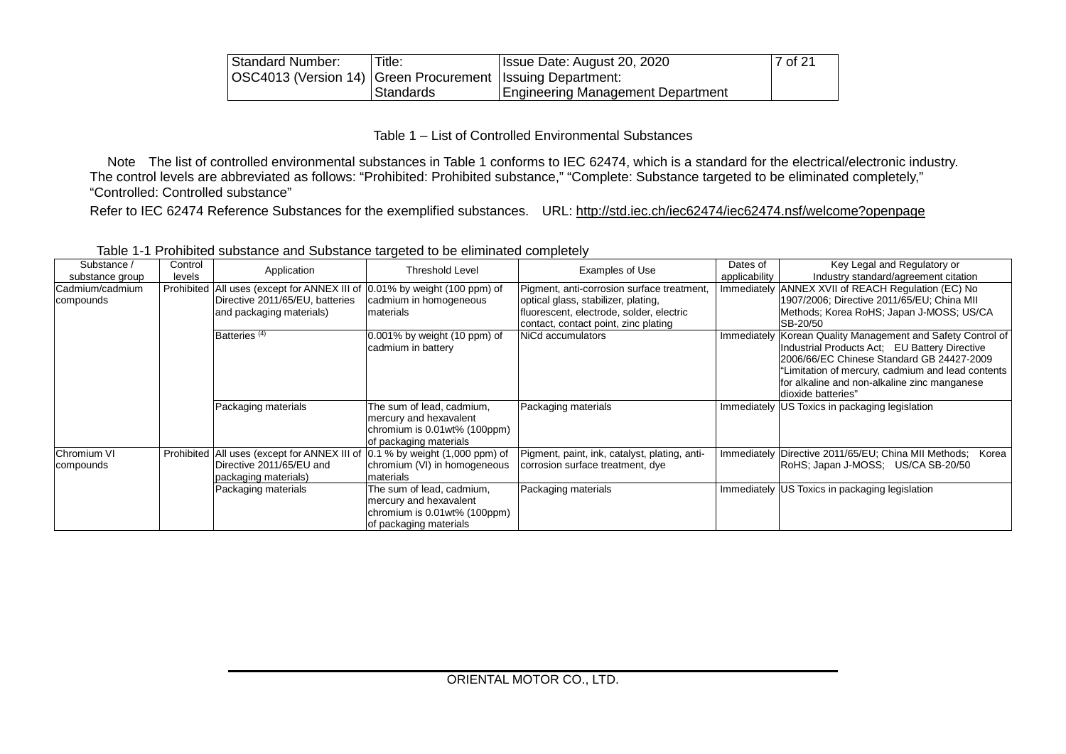| Standard Number:                                               | Title:    | Issue Date: August 20, 2020       | 7 of 21 |
|----------------------------------------------------------------|-----------|-----------------------------------|---------|
| OSC4013 (Version 14)   Green Procurement   Issuing Department: |           |                                   |         |
|                                                                | Standards | Engineering Management Department |         |

Table 1 – List of Controlled Environmental Substances

Note The list of controlled environmental substances in Table 1 conforms to IEC 62474, which is a standard for the electrical/electronic industry. The control levels are abbreviated as follows: "Prohibited: Prohibited substance," "Complete: Substance targeted to be eliminated completely," "Controlled: Controlled substance"

Refer to IEC 62474 Reference Substances for the exemplified substances. URL:<http://std.iec.ch/iec62474/iec62474.nsf/welcome?openpage>

<span id="page-6-0"></span>

| Substance /        | Control | Application                                  | <b>Threshold Level</b>             | Examples of Use                               | Dates of      | Key Legal and Regulatory or                                   |
|--------------------|---------|----------------------------------------------|------------------------------------|-----------------------------------------------|---------------|---------------------------------------------------------------|
| substance group    | levels  |                                              |                                    |                                               | applicability | Industry standard/agreement citation                          |
| lCadmium/cadmium   |         | Prohibited All uses (except for ANNEX III of | $0.01\%$ by weight (100 ppm) of    | Pigment, anti-corrosion surface treatment,    |               | Immediately ANNEX XVII of REACH Regulation (EC) No            |
| compounds          |         | Directive 2011/65/EU, batteries              | cadmium in homogeneous             | optical glass, stabilizer, plating,           |               | 1907/2006; Directive 2011/65/EU; China MII                    |
|                    |         | and packaging materials)                     | materials                          | fluorescent, electrode, solder, electric      |               | Methods; Korea RoHS; Japan J-MOSS; US/CA                      |
|                    |         |                                              |                                    | contact, contact point, zinc plating          |               | SB-20/50                                                      |
|                    |         | Batteries <sup>(4)</sup>                     | 0.001% by weight (10 ppm) of       | NiCd accumulators                             | Immediately   | Korean Quality Management and Safety Control of               |
|                    |         |                                              | cadmium in battery                 |                                               |               | Industrial Products Act: EU Battery Directive                 |
|                    |         |                                              |                                    |                                               |               | 2006/66/EC Chinese Standard GB 24427-2009                     |
|                    |         |                                              |                                    |                                               |               | "Limitation of mercury, cadmium and lead contents             |
|                    |         |                                              |                                    |                                               |               | for alkaline and non-alkaline zinc manganese                  |
|                    |         |                                              |                                    |                                               |               | dioxide batteries"                                            |
|                    |         | Packaging materials                          | The sum of lead, cadmium,          | Packaging materials                           |               | Immediately US Toxics in packaging legislation                |
|                    |         |                                              | mercury and hexavalent             |                                               |               |                                                               |
|                    |         |                                              | chromium is 0.01wt% (100ppm)       |                                               |               |                                                               |
|                    |         |                                              | of packaging materials             |                                               |               |                                                               |
| <b>Chromium VI</b> |         | Prohibited All uses (except for ANNEX III of | $0.1\%$ by weight $(1,000$ ppm) of | Pigment, paint, ink, catalyst, plating, anti- |               | Immediately Directive 2011/65/EU; China MII Methods;<br>Korea |
| compounds          |         | Directive 2011/65/EU and                     | chromium (VI) in homogeneous       | corrosion surface treatment, dye              |               | RoHS; Japan J-MOSS; US/CA SB-20/50                            |
|                    |         | packaging materials)                         | materials                          |                                               |               |                                                               |
|                    |         | Packaging materials                          | The sum of lead, cadmium,          | Packaging materials                           |               | Immediately US Toxics in packaging legislation                |
|                    |         |                                              | mercury and hexavalent             |                                               |               |                                                               |
|                    |         |                                              | chromium is $0.01$ wt% (100ppm)    |                                               |               |                                                               |
|                    |         |                                              | of packaging materials             |                                               |               |                                                               |

Table 1-1 Prohibited substance and Substance targeted to be eliminated completely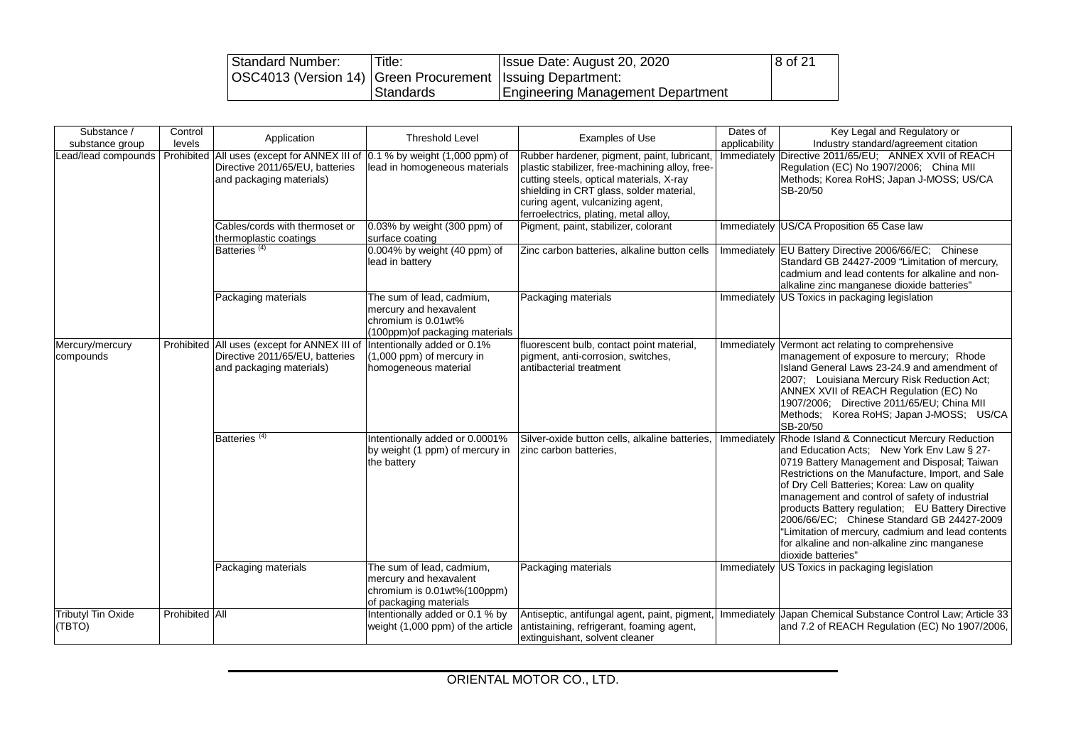| Standard Number:                                               | Title:     | Issue Date: August 20, 2020       | 8 of 21 |
|----------------------------------------------------------------|------------|-----------------------------------|---------|
| OSC4013 (Version 14)   Green Procurement   Issuing Department: |            |                                   |         |
|                                                                | .Standards | Engineering Management Department |         |

| Substance /<br>substance group      | Control<br>levels | Application                                                                                                                     | <b>Threshold Level</b>                                                                                        | Examples of Use                                                                                                                                                                                                                                                    | Dates of<br>applicability | Key Legal and Regulatory or<br>Industry standard/agreement citation                                                                                                                                                                                                                                                                                                                                                                                                                                                             |
|-------------------------------------|-------------------|---------------------------------------------------------------------------------------------------------------------------------|---------------------------------------------------------------------------------------------------------------|--------------------------------------------------------------------------------------------------------------------------------------------------------------------------------------------------------------------------------------------------------------------|---------------------------|---------------------------------------------------------------------------------------------------------------------------------------------------------------------------------------------------------------------------------------------------------------------------------------------------------------------------------------------------------------------------------------------------------------------------------------------------------------------------------------------------------------------------------|
| Lead/lead compounds                 | Prohibited        | All uses (except for ANNEX III of 0.1 % by weight (1,000 ppm) of<br>Directive 2011/65/EU, batteries<br>and packaging materials) | lead in homogeneous materials                                                                                 | Rubber hardener, pigment, paint, lubricant<br>plastic stabilizer, free-machining alloy, free-<br>cutting steels, optical materials, X-ray<br>shielding in CRT glass, solder material,<br>curing agent, vulcanizing agent,<br>ferroelectrics, plating, metal alloy, | Immediately               | Directive 2011/65/EU: ANNEX XVII of REACH<br>Regulation (EC) No 1907/2006; China MII<br>Methods; Korea RoHS; Japan J-MOSS; US/CA<br>SB-20/50                                                                                                                                                                                                                                                                                                                                                                                    |
|                                     |                   | Cables/cords with thermoset or<br>thermoplastic coatings                                                                        | 0.03% by weight (300 ppm) of<br>surface coating                                                               | Pigment, paint, stabilizer, colorant                                                                                                                                                                                                                               |                           | Immediately US/CA Proposition 65 Case law                                                                                                                                                                                                                                                                                                                                                                                                                                                                                       |
|                                     |                   | Batteries <sup>(4)</sup>                                                                                                        | 0.004% by weight (40 ppm) of<br>lead in battery                                                               | Zinc carbon batteries, alkaline button cells                                                                                                                                                                                                                       |                           | Immediately EU Battery Directive 2006/66/EC; Chinese<br>Standard GB 24427-2009 "Limitation of mercury,<br>cadmium and lead contents for alkaline and non-<br>alkaline zinc manganese dioxide batteries"                                                                                                                                                                                                                                                                                                                         |
|                                     |                   | Packaging materials                                                                                                             | The sum of lead, cadmium,<br>mercury and hexavalent<br>chromium is 0.01wt%<br>(100ppm) of packaging materials | Packaging materials                                                                                                                                                                                                                                                |                           | Immediately US Toxics in packaging legislation                                                                                                                                                                                                                                                                                                                                                                                                                                                                                  |
| Mercury/mercury<br>compounds        | Prohibited        | All uses (except for ANNEX III of<br>Directive 2011/65/EU, batteries<br>and packaging materials)                                | Intentionally added or 0.1%<br>$(1,000$ ppm) of mercury in<br>homogeneous material                            | fluorescent bulb, contact point material,<br>pigment, anti-corrosion, switches,<br>antibacterial treatment                                                                                                                                                         | Immediately               | Vermont act relating to comprehensive<br>management of exposure to mercury; Rhode<br>Island General Laws 23-24.9 and amendment of<br>2007; Louisiana Mercury Risk Reduction Act;<br>ANNEX XVII of REACH Regulation (EC) No<br>1907/2006; Directive 2011/65/EU; China MII<br>Methods; Korea RoHS; Japan J-MOSS; US/CA<br>SB-20/50                                                                                                                                                                                                |
|                                     |                   | Batteries <sup>(4)</sup>                                                                                                        | Intentionally added or 0.0001%<br>by weight (1 ppm) of mercury in<br>the battery                              | Silver-oxide button cells, alkaline batteries.<br>zinc carbon batteries,                                                                                                                                                                                           | Immediately               | Rhode Island & Connecticut Mercury Reduction<br>and Education Acts; New York Env Law § 27-<br>0719 Battery Management and Disposal; Taiwan<br>Restrictions on the Manufacture, Import, and Sale<br>of Dry Cell Batteries; Korea: Law on quality<br>management and control of safety of industrial<br>products Battery regulation; EU Battery Directive<br>2006/66/EC; Chinese Standard GB 24427-2009<br>"Limitation of mercury, cadmium and lead contents<br>for alkaline and non-alkaline zinc manganese<br>dioxide batteries" |
|                                     |                   | Packaging materials                                                                                                             | The sum of lead, cadmium,<br>mercury and hexavalent<br>chromium is 0.01wt%(100ppm)<br>of packaging materials  | Packaging materials                                                                                                                                                                                                                                                |                           | Immediately US Toxics in packaging legislation                                                                                                                                                                                                                                                                                                                                                                                                                                                                                  |
| <b>Tributyl Tin Oxide</b><br>(TBTO) | Prohibited All    |                                                                                                                                 | Intentionally added or 0.1 % by<br>weight (1,000 ppm) of the article                                          | Antiseptic, antifungal agent, paint, pigment,<br>antistaining, refrigerant, foaming agent,<br>extinguishant, solvent cleaner                                                                                                                                       |                           | Immediately Japan Chemical Substance Control Law; Article 33<br>and 7.2 of REACH Regulation (EC) No 1907/2006,                                                                                                                                                                                                                                                                                                                                                                                                                  |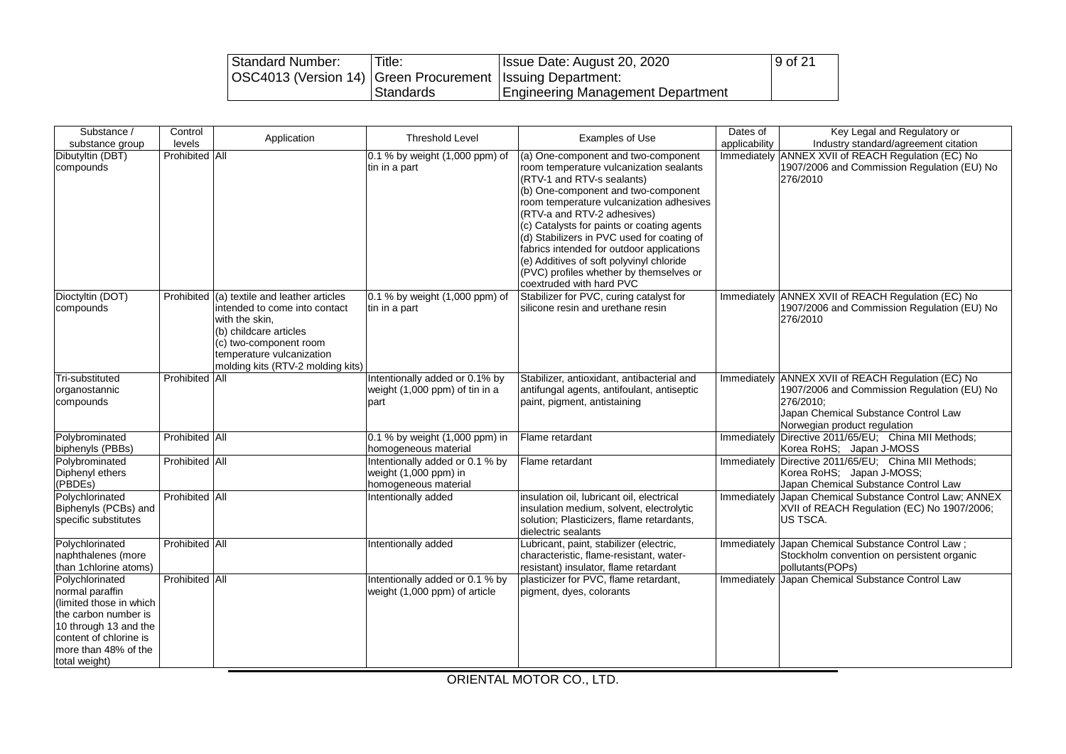| Standard Number:                                               | Title:    | Issue Date: August 20, 2020       | 9 of 21 |
|----------------------------------------------------------------|-----------|-----------------------------------|---------|
| OSC4013 (Version 14)   Green Procurement   Issuing Department: |           |                                   |         |
|                                                                | Standards | Engineering Management Department |         |

| Substance /<br>substance group                                                                                                                                                    | Control<br>levels     | Application                                                                                                                                                                                               | <b>Threshold Level</b>                                                           | Examples of Use                                                                                                                                                                                                                                                                                                                                                                                                                                                                            | Dates of<br>applicability | Key Legal and Regulatory or<br>Industry standard/agreement citation                                                                                                        |
|-----------------------------------------------------------------------------------------------------------------------------------------------------------------------------------|-----------------------|-----------------------------------------------------------------------------------------------------------------------------------------------------------------------------------------------------------|----------------------------------------------------------------------------------|--------------------------------------------------------------------------------------------------------------------------------------------------------------------------------------------------------------------------------------------------------------------------------------------------------------------------------------------------------------------------------------------------------------------------------------------------------------------------------------------|---------------------------|----------------------------------------------------------------------------------------------------------------------------------------------------------------------------|
| Dibutyltin (DBT)<br>compounds                                                                                                                                                     | Prohibited All        |                                                                                                                                                                                                           | 0.1 % by weight (1,000 ppm) of<br>tin in a part                                  | (a) One-component and two-component<br>room temperature vulcanization sealants<br>(RTV-1 and RTV-s sealants)<br>(b) One-component and two-component<br>room temperature vulcanization adhesives<br>(RTV-a and RTV-2 adhesives)<br>(c) Catalysts for paints or coating agents<br>(d) Stabilizers in PVC used for coating of<br>fabrics intended for outdoor applications<br>(e) Additives of soft polyvinyl chloride<br>(PVC) profiles whether by themselves or<br>coextruded with hard PVC | Immediately               | ANNEX XVII of REACH Regulation (EC) No<br>1907/2006 and Commission Regulation (EU) No<br>276/2010                                                                          |
| Dioctyltin (DOT)<br>compounds                                                                                                                                                     | Prohibited            | (a) textile and leather articles<br>intended to come into contact<br>with the skin,<br>(b) childcare articles<br>(c) two-component room<br>temperature vulcanization<br>molding kits (RTV-2 molding kits) | 0.1 % by weight (1,000 ppm) of<br>tin in a part                                  | Stabilizer for PVC, curing catalyst for<br>silicone resin and urethane resin                                                                                                                                                                                                                                                                                                                                                                                                               | Immediately               | ANNEX XVII of REACH Regulation (EC) No<br>1907/2006 and Commission Regulation (EU) No<br>276/2010                                                                          |
| Tri-substituted<br>organostannic<br>compounds                                                                                                                                     | Prohibited All        |                                                                                                                                                                                                           | Intentionally added or 0.1% by<br>weight (1,000 ppm) of tin in a<br>part         | Stabilizer, antioxidant, antibacterial and<br>antifungal agents, antifoulant, antiseptic<br>paint, pigment, antistaining                                                                                                                                                                                                                                                                                                                                                                   | Immediately               | ANNEX XVII of REACH Regulation (EC) No<br>1907/2006 and Commission Regulation (EU) No<br>276/2010;<br>Japan Chemical Substance Control Law<br>Norwegian product regulation |
| Polybrominated<br>biphenyls (PBBs)                                                                                                                                                | Prohibited All        |                                                                                                                                                                                                           | 0.1 % by weight (1,000 ppm) in<br>homogeneous material                           | Flame retardant                                                                                                                                                                                                                                                                                                                                                                                                                                                                            | Immediately               | Directive 2011/65/EU; China MII Methods;<br>Korea RoHS; Japan J-MOSS                                                                                                       |
| Polybrominated<br>Diphenyl ethers<br>(PBDEs)                                                                                                                                      | Prohibited All        |                                                                                                                                                                                                           | Intentionally added or 0.1 % by<br>weight (1,000 ppm) in<br>homogeneous material | Flame retardant                                                                                                                                                                                                                                                                                                                                                                                                                                                                            | Immediately               | Directive 2011/65/EU; China MII Methods;<br>Korea RoHS; Japan J-MOSS;<br>Japan Chemical Substance Control Law                                                              |
| Polychlorinated<br>Biphenyls (PCBs) and<br>specific substitutes                                                                                                                   | Prohibited All        |                                                                                                                                                                                                           | Intentionally added                                                              | insulation oil, lubricant oil, electrical<br>insulation medium, solvent, electrolytic<br>solution; Plasticizers, flame retardants,<br>dielectric sealants                                                                                                                                                                                                                                                                                                                                  | Immediately               | Japan Chemical Substance Control Law; ANNEX<br>XVII of REACH Regulation (EC) No 1907/2006;<br>US TSCA.                                                                     |
| Polychlorinated<br>naphthalenes (more<br>than 1chlorine atoms)                                                                                                                    | Prohibited All        |                                                                                                                                                                                                           | Intentionally added                                                              | Lubricant, paint, stabilizer (electric,<br>characteristic, flame-resistant, water-<br>resistant) insulator, flame retardant                                                                                                                                                                                                                                                                                                                                                                | Immediately               | Japan Chemical Substance Control Law;<br>Stockholm convention on persistent organic<br>pollutants(POPs)                                                                    |
| Polychlorinated<br>normal paraffin<br>(limited those in which<br>the carbon number is<br>10 through 13 and the<br>content of chlorine is<br>more than 48% of the<br>total weight) | <b>Prohibited All</b> |                                                                                                                                                                                                           | Intentionally added or 0.1 % by<br>weight (1,000 ppm) of article                 | plasticizer for PVC, flame retardant,<br>pigment, dyes, colorants                                                                                                                                                                                                                                                                                                                                                                                                                          |                           | Immediately Japan Chemical Substance Control Law                                                                                                                           |

ORIENTAL MOTOR CO., LTD.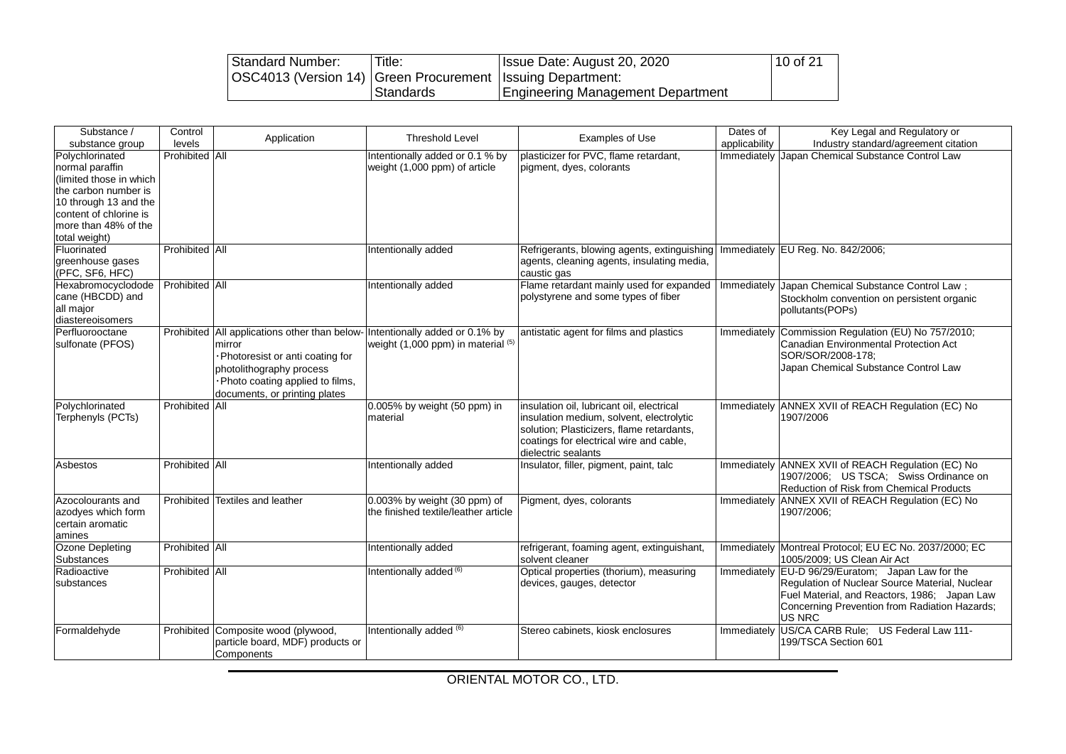| Standard Number:                                               | Title:    | Issue Date: August 20, 2020       | 10 of 21 |
|----------------------------------------------------------------|-----------|-----------------------------------|----------|
| OSC4013 (Version 14)   Green Procurement   Issuing Department: |           |                                   |          |
|                                                                | Standards | Engineering Management Department |          |

| Substance /<br>substance group                                                                                                                                                    | Control<br>levels | Application                                                                                                                                                                                                               | <b>Threshold Level</b>                                               | Examples of Use                                                                                                                                                                                      | Dates of<br>applicability | Key Legal and Regulatory or<br>Industry standard/agreement citation                                                                                                                                       |  |
|-----------------------------------------------------------------------------------------------------------------------------------------------------------------------------------|-------------------|---------------------------------------------------------------------------------------------------------------------------------------------------------------------------------------------------------------------------|----------------------------------------------------------------------|------------------------------------------------------------------------------------------------------------------------------------------------------------------------------------------------------|---------------------------|-----------------------------------------------------------------------------------------------------------------------------------------------------------------------------------------------------------|--|
| Polychlorinated<br>normal paraffin<br>(limited those in which<br>the carbon number is<br>10 through 13 and the<br>content of chlorine is<br>more than 48% of the<br>total weight) | Prohibited All    |                                                                                                                                                                                                                           | Intentionally added or 0.1 % by<br>weight (1,000 ppm) of article     | plasticizer for PVC, flame retardant,<br>pigment, dyes, colorants                                                                                                                                    | Immediately               | Japan Chemical Substance Control Law                                                                                                                                                                      |  |
| Fluorinated<br>greenhouse gases<br>(PFC, SF6, HFC)                                                                                                                                | Prohibited All    |                                                                                                                                                                                                                           | Intentionally added                                                  | Refrigerants, blowing agents, extinguishing   Immediately EU Reg. No. 842/2006;<br>agents, cleaning agents, insulating media,<br>caustic gas                                                         |                           |                                                                                                                                                                                                           |  |
| Hexabromocyclodode<br>cane (HBCDD) and<br>all major<br>diastereoisomers                                                                                                           | Prohibited All    |                                                                                                                                                                                                                           | Intentionally added                                                  | Flame retardant mainly used for expanded<br>polystyrene and some types of fiber                                                                                                                      |                           | Immediately Japan Chemical Substance Control Law;<br>Stockholm convention on persistent organic<br>pollutants (POPs)                                                                                      |  |
| Perfluorooctane<br>sulfonate (PFOS)                                                                                                                                               |                   | Prohibited All applications other than below- Intentionally added or 0.1% by<br>mirror<br>Photoresist or anti coating for<br>photolithography process<br>Photo coating applied to films,<br>documents, or printing plates | weight (1,000 ppm) in material (5)                                   | antistatic agent for films and plastics                                                                                                                                                              |                           | Immediately Commission Regulation (EU) No 757/2010;<br>Canadian Environmental Protection Act<br>SOR/SOR/2008-178;<br>Japan Chemical Substance Control Law                                                 |  |
| Polychlorinated<br>Terphenyls (PCTs)                                                                                                                                              | Prohibited All    |                                                                                                                                                                                                                           | 0.005% by weight (50 ppm) in<br>material                             | insulation oil, lubricant oil, electrical<br>insulation medium, solvent, electrolytic<br>solution; Plasticizers, flame retardants,<br>coatings for electrical wire and cable,<br>dielectric sealants |                           | Immediately ANNEX XVII of REACH Regulation (EC) No<br>1907/2006                                                                                                                                           |  |
| Asbestos                                                                                                                                                                          | Prohibited All    |                                                                                                                                                                                                                           | Intentionally added                                                  | Insulator, filler, pigment, paint, talc                                                                                                                                                              |                           | Immediately ANNEX XVII of REACH Regulation (EC) No<br>1907/2006; US TSCA; Swiss Ordinance on<br>Reduction of Risk from Chemical Products                                                                  |  |
| Azocolourants and<br>azodyes which form<br>certain aromatic<br>amines                                                                                                             |                   | Prohibited Textiles and leather                                                                                                                                                                                           | 0.003% by weight (30 ppm) of<br>the finished textile/leather article | Pigment, dyes, colorants                                                                                                                                                                             | Immediately               | ANNEX XVII of REACH Regulation (EC) No<br>1907/2006;                                                                                                                                                      |  |
| Ozone Depleting<br>Substances                                                                                                                                                     | Prohibited All    |                                                                                                                                                                                                                           | Intentionally added                                                  | refrigerant, foaming agent, extinguishant,<br>solvent cleaner                                                                                                                                        |                           | Immediately Montreal Protocol; EU EC No. 2037/2000; EC<br>1005/2009: US Clean Air Act                                                                                                                     |  |
| Radioactive<br>substances                                                                                                                                                         | Prohibited All    |                                                                                                                                                                                                                           | Intentionally added <sup>(6)</sup>                                   | Optical properties (thorium), measuring<br>devices, gauges, detector                                                                                                                                 | Immediately               | EU-D 96/29/Euratom; Japan Law for the<br>Regulation of Nuclear Source Material, Nuclear<br>Fuel Material, and Reactors, 1986; Japan Law<br>Concerning Prevention from Radiation Hazards;<br><b>US NRC</b> |  |
| Formaldehyde                                                                                                                                                                      |                   | Prohibited Composite wood (plywood,<br>particle board, MDF) products or<br>Components                                                                                                                                     | Intentionally added (6)                                              | Stereo cabinets, kiosk enclosures                                                                                                                                                                    | Immediately               | US/CA CARB Rule; US Federal Law 111-<br>199/TSCA Section 601                                                                                                                                              |  |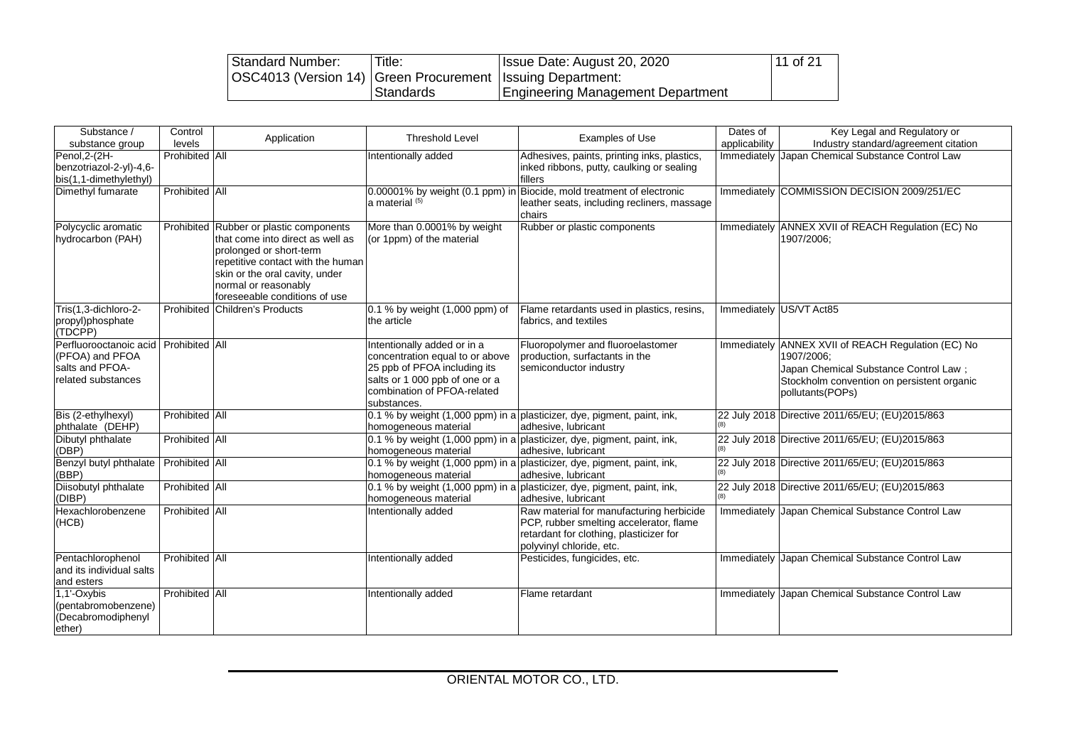| Standard Number:                                               | Title:      | Issue Date: August 20, 2020       | 11 of 21 |
|----------------------------------------------------------------|-------------|-----------------------------------|----------|
| OSC4013 (Version 14)   Green Procurement   Issuing Department: |             |                                   |          |
|                                                                | l Standards | Engineering Management Department |          |

| Substance /<br>substance group                                                                    | Control<br>levels     | Application                                                                                                                                                                                                                            | <b>Threshold Level</b>                                                                                                                                                        | Examples of Use                                                                                                                                            | Dates of<br>applicability | Key Legal and Regulatory or<br>Industry standard/agreement citation                                                                                             |
|---------------------------------------------------------------------------------------------------|-----------------------|----------------------------------------------------------------------------------------------------------------------------------------------------------------------------------------------------------------------------------------|-------------------------------------------------------------------------------------------------------------------------------------------------------------------------------|------------------------------------------------------------------------------------------------------------------------------------------------------------|---------------------------|-----------------------------------------------------------------------------------------------------------------------------------------------------------------|
| Penol, 2-(2H-<br>benzotriazol-2-yl)-4,6-<br>bis(1,1-dimethylethyl)                                | <b>Prohibited All</b> |                                                                                                                                                                                                                                        | Intentionally added                                                                                                                                                           | Adhesives, paints, printing inks, plastics,<br>inked ribbons, putty, caulking or sealing<br>fillers                                                        | Immediately               | Japan Chemical Substance Control Law                                                                                                                            |
| Dimethyl fumarate                                                                                 | Prohibited All        |                                                                                                                                                                                                                                        | a material (5)                                                                                                                                                                | 0.00001% by weight (0.1 ppm) in Biocide, mold treatment of electronic<br>leather seats, including recliners, massage<br>chairs                             |                           | Immediately COMMISSION DECISION 2009/251/EC                                                                                                                     |
| Polycyclic aromatic<br>hydrocarbon (PAH)                                                          |                       | Prohibited Rubber or plastic components<br>that come into direct as well as<br>prolonged or short-term<br>repetitive contact with the human<br>skin or the oral cavity, under<br>normal or reasonably<br>foreseeable conditions of use | More than 0.0001% by weight<br>(or 1ppm) of the material                                                                                                                      | Rubber or plastic components                                                                                                                               |                           | Immediately ANNEX XVII of REACH Regulation (EC) No<br>1907/2006;                                                                                                |
| Tris(1,3-dichloro-2-<br>propyl)phosphate<br>(TDCPP)                                               |                       | <b>Prohibited Children's Products</b>                                                                                                                                                                                                  | 0.1 % by weight (1,000 ppm) of<br>the article                                                                                                                                 | Flame retardants used in plastics, resins,<br>fabrics, and textiles                                                                                        |                           | Immediately US/VT Act85                                                                                                                                         |
| Perfluorooctanoic acid Prohibited All<br>(PFOA) and PFOA<br>salts and PFOA-<br>related substances |                       |                                                                                                                                                                                                                                        | ntentionally added or in a<br>concentration equal to or above<br>25 ppb of PFOA including its<br>salts or 1 000 ppb of one or a<br>combination of PFOA-related<br>substances. | Fluoropolymer and fluoroelastomer<br>production, surfactants in the<br>semiconductor industry                                                              | Immediately               | ANNEX XVII of REACH Regulation (EC) No<br>1907/2006;<br>Japan Chemical Substance Control Law;<br>Stockholm convention on persistent organic<br>pollutants(POPs) |
| Bis (2-ethylhexyl)<br>phthalate (DEHP)                                                            | Prohibited All        |                                                                                                                                                                                                                                        | homogeneous material                                                                                                                                                          | 0.1 % by weight (1,000 ppm) in a plasticizer, dye, pigment, paint, ink,<br>adhesive, lubricant                                                             |                           | 22 July 2018 Directive 2011/65/EU; (EU)2015/863                                                                                                                 |
| Dibutyl phthalate<br>(DBP)                                                                        | Prohibited All        |                                                                                                                                                                                                                                        | homogeneous material                                                                                                                                                          | 0.1 % by weight (1,000 ppm) in a plasticizer, dye, pigment, paint, ink,<br>adhesive. lubricant                                                             |                           | 22 July 2018 Directive 2011/65/EU; (EU)2015/863                                                                                                                 |
| Benzyl butyl phthalate<br>(BBP)                                                                   | Prohibited All        |                                                                                                                                                                                                                                        | homogeneous material                                                                                                                                                          | 0.1 % by weight (1,000 ppm) in a plasticizer, dye, pigment, paint, ink,<br>adhesive. lubricant                                                             |                           | 22 July 2018 Directive 2011/65/EU; (EU)2015/863                                                                                                                 |
| Diisobutyl phthalate<br>(DIBP)                                                                    | Prohibited All        |                                                                                                                                                                                                                                        | homogeneous material                                                                                                                                                          | 0.1 % by weight (1,000 ppm) in a plasticizer, dye, pigment, paint, ink,<br>adhesive, lubricant                                                             |                           | 22 July 2018 Directive 2011/65/EU; (EU)2015/863                                                                                                                 |
| Hexachlorobenzene<br>(HCB)                                                                        | Prohibited All        |                                                                                                                                                                                                                                        | Intentionally added                                                                                                                                                           | Raw material for manufacturing herbicide<br>PCP, rubber smelting accelerator, flame<br>retardant for clothing, plasticizer for<br>polyvinyl chloride, etc. |                           | Immediately Japan Chemical Substance Control Law                                                                                                                |
| Pentachlorophenol<br>and its individual salts<br>and esters                                       | <b>Prohibited All</b> |                                                                                                                                                                                                                                        | Intentionally added                                                                                                                                                           | Pesticides, fungicides, etc.                                                                                                                               |                           | Immediately Japan Chemical Substance Control Law                                                                                                                |
| 1,1'-Oxybis<br>(pentabromobenzene)<br>(Decabromodiphenyl<br>ether)                                | Prohibited All        |                                                                                                                                                                                                                                        | Intentionally added                                                                                                                                                           | Flame retardant                                                                                                                                            | Immediately               | Japan Chemical Substance Control Law                                                                                                                            |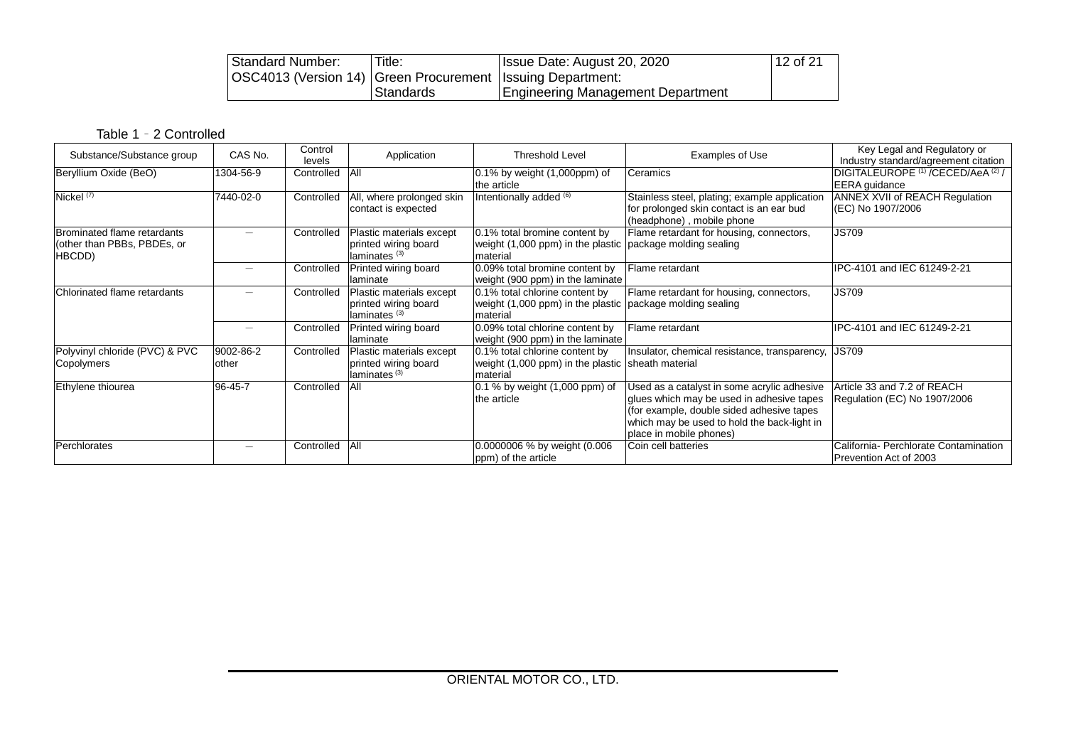| Standard Number:                                               | Title:    | Issue Date: August 20, 2020              | $12$ of 21 |
|----------------------------------------------------------------|-----------|------------------------------------------|------------|
| OSC4013 (Version 14)   Green Procurement   Issuing Department: |           |                                          |            |
|                                                                | Standards | <b>Engineering Management Department</b> |            |

# Table 1 – 2 Controlled

| Substance/Substance group                                                   | CAS No.            | Control<br>levels | Application                                                                  | <b>Threshold Level</b>                                                                                  | Examples of Use                                                                                                                                                                                                 | Key Legal and Regulatory or<br>Industry standard/agreement citation              |
|-----------------------------------------------------------------------------|--------------------|-------------------|------------------------------------------------------------------------------|---------------------------------------------------------------------------------------------------------|-----------------------------------------------------------------------------------------------------------------------------------------------------------------------------------------------------------------|----------------------------------------------------------------------------------|
| Beryllium Oxide (BeO)                                                       | 1304-56-9          | Controlled        | <b>AII</b>                                                                   | $0.1\%$ by weight $(1,000$ ppm $)$ of<br>the article                                                    | Ceramics                                                                                                                                                                                                        | DIGITALEUROPE <sup>(1)</sup> /CECED/AeA <sup>(2)</sup> /<br><b>EERA</b> guidance |
| Nickel $(7)$                                                                | 7440-02-0          | Controlled        | All, where prolonged skin<br>contact is expected                             | Intentionally added (6)                                                                                 | Stainless steel, plating; example application<br>for prolonged skin contact is an ear bud<br>(headphone), mobile phone                                                                                          | ANNEX XVII of REACH Regulation<br>(EC) No 1907/2006                              |
| <b>Brominated flame retardants</b><br>(other than PBBs, PBDEs, or<br>HBCDD) |                    | Controlled        | Plastic materials except<br>printed wiring board<br>laminates <sup>(3)</sup> | 0.1% total bromine content by<br>weight (1,000 ppm) in the plastic package molding sealing<br>material  | Flame retardant for housing, connectors,                                                                                                                                                                        | <b>JS709</b>                                                                     |
|                                                                             |                    | Controlled        | Printed wiring board<br>llaminate                                            | 0.09% total bromine content by<br>weight (900 ppm) in the laminate                                      | Flame retardant                                                                                                                                                                                                 | IPC-4101 and IEC 61249-2-21                                                      |
| Chlorinated flame retardants                                                |                    | Controlled        | Plastic materials except<br>printed wiring board<br>laminates <sup>(3)</sup> | 0.1% total chlorine content by<br>weight (1,000 ppm) in the plastic package molding sealing<br>material | Flame retardant for housing, connectors,                                                                                                                                                                        | <b>JS709</b>                                                                     |
|                                                                             |                    | Controlled        | Printed wiring board<br>llaminate                                            | 0.09% total chlorine content by<br>weight (900 ppm) in the laminate                                     | Flame retardant                                                                                                                                                                                                 | IPC-4101 and IEC 61249-2-21                                                      |
| Polyvinyl chloride (PVC) & PVC<br>Copolymers                                | 9002-86-2<br>other | Controlled        | Plastic materials except<br>printed wiring board<br>laminates <sup>(3)</sup> | 0.1% total chlorine content by<br>weight (1,000 ppm) in the plastic sheath material<br>material         | Insulator, chemical resistance, transparency,                                                                                                                                                                   | <b>JS709</b>                                                                     |
| Ethylene thiourea                                                           | 96-45-7            | Controlled        | All                                                                          | 0.1 % by weight (1,000 ppm) of<br>the article                                                           | Used as a catalyst in some acrylic adhesive<br>glues which may be used in adhesive tapes<br>(for example, double sided adhesive tapes<br>which may be used to hold the back-light in<br>place in mobile phones) | Article 33 and 7.2 of REACH<br>Regulation (EC) No 1907/2006                      |
| <b>Perchlorates</b>                                                         | $\qquad \qquad$    | Controlled        | <b>JAII</b>                                                                  | 0.0000006 % by weight (0.006<br>ppm) of the article                                                     | Coin cell batteries                                                                                                                                                                                             | California- Perchlorate Contamination<br>Prevention Act of 2003                  |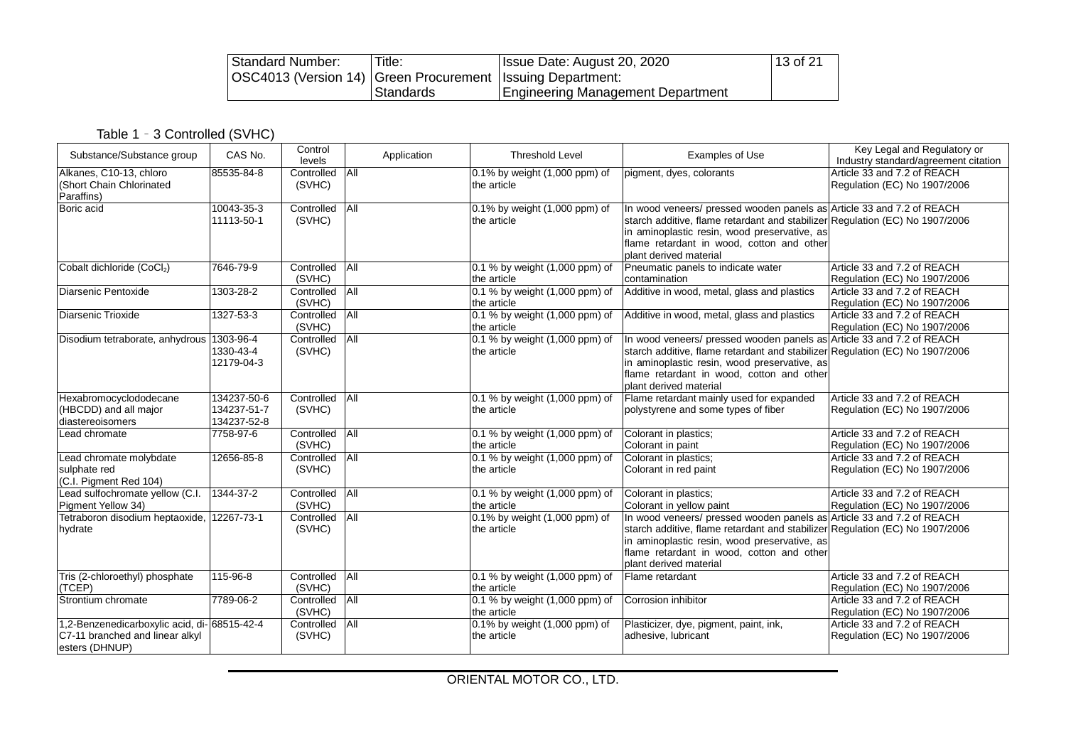| Standard Number:                                               | Title:    | Issue Date: August 20, 2020              | 13 of 21 |
|----------------------------------------------------------------|-----------|------------------------------------------|----------|
| OSC4013 (Version 14)   Green Procurement   Issuing Department: |           |                                          |          |
|                                                                | Standards | <b>Engineering Management Department</b> |          |

Table 1 – 3 Controlled (SVHC)

| Substance/Substance group                                                                         | CAS No.                                   | Control<br>levels        | Application | <b>Threshold Level</b>                        | <b>Examples of Use</b>                                                                                                                                                                                                                                                       | Key Legal and Regulatory or<br>Industry standard/agreement citation |
|---------------------------------------------------------------------------------------------------|-------------------------------------------|--------------------------|-------------|-----------------------------------------------|------------------------------------------------------------------------------------------------------------------------------------------------------------------------------------------------------------------------------------------------------------------------------|---------------------------------------------------------------------|
| Alkanes, C10-13, chloro<br>(Short Chain Chlorinated<br>Paraffins)                                 | 85535-84-8                                | Controlled All<br>(SVHC) |             | 0.1% by weight (1,000 ppm) of<br>the article  | pigment, dyes, colorants                                                                                                                                                                                                                                                     | Article 33 and 7.2 of REACH<br>Regulation (EC) No 1907/2006         |
| Boric acid                                                                                        | 10043-35-3<br>11113-50-1                  | Controlled<br>(SVHC)     | AII         | 0.1% by weight (1,000 ppm) of<br>the article  | In wood veneers/ pressed wooden panels as Article 33 and 7.2 of REACH<br>starch additive, flame retardant and stabilizer Regulation (EC) No 1907/2006<br>in aminoplastic resin, wood preservative, as<br>flame retardant in wood, cotton and other<br>plant derived material |                                                                     |
| Cobalt dichloride (CoCl2)                                                                         | 7646-79-9                                 | Controlled<br>(SVHC)     | <b>All</b>  | 0.1 % by weight (1,000 ppm) of<br>the article | Pneumatic panels to indicate water<br>contamination                                                                                                                                                                                                                          | Article 33 and 7.2 of REACH<br>Regulation (EC) No 1907/2006         |
| Diarsenic Pentoxide                                                                               | 1303-28-2                                 | Controlled<br>(SVHC)     | All         | 0.1 % by weight (1,000 ppm) of<br>the article | Additive in wood, metal, glass and plastics                                                                                                                                                                                                                                  | Article 33 and 7.2 of REACH<br>Regulation (EC) No 1907/2006         |
| Diarsenic Trioxide                                                                                | 1327-53-3                                 | Controlled<br>(SVHC)     | <b>All</b>  | 0.1 % by weight (1,000 ppm) of<br>the article | Additive in wood, metal, glass and plastics                                                                                                                                                                                                                                  | Article 33 and 7.2 of REACH<br>Regulation (EC) No 1907/2006         |
| Disodium tetraborate, anhydrous                                                                   | 1303-96-4<br>1330-43-4<br>12179-04-3      | Controlled<br>(SVHC)     | H           | 0.1 % by weight (1,000 ppm) of<br>the article | In wood veneers/ pressed wooden panels as Article 33 and 7.2 of REACH<br>starch additive, flame retardant and stabilizer Regulation (EC) No 1907/2006<br>in aminoplastic resin, wood preservative, as<br>flame retardant in wood, cotton and other<br>plant derived material |                                                                     |
| Hexabromocyclododecane<br>(HBCDD) and all major<br>diastereoisomers                               | 134237-50-6<br>134237-51-7<br>134237-52-8 | Controlled<br>(SVHC)     | All         | 0.1 % by weight (1,000 ppm) of<br>the article | Flame retardant mainly used for expanded<br>polystyrene and some types of fiber                                                                                                                                                                                              | Article 33 and 7.2 of REACH<br>Regulation (EC) No 1907/2006         |
| Lead chromate                                                                                     | 7758-97-6                                 | Controlled<br>(SVHC)     | All         | 0.1 % by weight (1,000 ppm) of<br>the article | Colorant in plastics;<br>Colorant in paint                                                                                                                                                                                                                                   | Article 33 and 7.2 of REACH<br>Regulation (EC) No 1907/2006         |
| Lead chromate molybdate<br>sulphate red<br>(C.I. Pigment Red 104)                                 | 12656-85-8                                | Controlled<br>(SVHC)     | <b>All</b>  | 0.1 % by weight (1,000 ppm) of<br>the article | Colorant in plastics;<br>Colorant in red paint                                                                                                                                                                                                                               | Article 33 and 7.2 of REACH<br>Regulation (EC) No 1907/2006         |
| Lead sulfochromate yellow (C.I.<br>Pigment Yellow 34)                                             | 1344-37-2                                 | Controlled<br>(SVHC)     | All         | 0.1 % by weight (1,000 ppm) of<br>the article | Colorant in plastics:<br>Colorant in yellow paint                                                                                                                                                                                                                            | Article 33 and 7.2 of REACH<br>Regulation (EC) No 1907/2006         |
| Tetraboron disodium heptaoxide, 12267-73-1<br>hydrate                                             |                                           | Controlled<br>(SVHC)     | <b>All</b>  | 0.1% by weight (1,000 ppm) of<br>the article  | In wood veneers/ pressed wooden panels as Article 33 and 7.2 of REACH<br>starch additive, flame retardant and stabilizer Regulation (EC) No 1907/2006<br>in aminoplastic resin, wood preservative, as<br>flame retardant in wood, cotton and other<br>plant derived material |                                                                     |
| Tris (2-chloroethyl) phosphate<br>(TCEP)                                                          | 115-96-8                                  | Controlled<br>(SVHC)     | All         | 0.1 % by weight (1,000 ppm) of<br>the article | Flame retardant                                                                                                                                                                                                                                                              | Article 33 and 7.2 of REACH<br>Regulation (EC) No 1907/2006         |
| Strontium chromate                                                                                | 7789-06-2                                 | Controlled<br>(SVHC)     | All         | 0.1 % by weight (1,000 ppm) of<br>the article | Corrosion inhibitor                                                                                                                                                                                                                                                          | Article 33 and 7.2 of REACH<br>Regulation (EC) No 1907/2006         |
| 1,2-Benzenedicarboxylic acid, di- 68515-42-4<br>C7-11 branched and linear alkyl<br>esters (DHNUP) |                                           | Controlled<br>(SVHC)     | All         | 0.1% by weight (1,000 ppm) of<br>the article  | Plasticizer, dye, pigment, paint, ink,<br>adhesive, lubricant                                                                                                                                                                                                                | Article 33 and 7.2 of REACH<br>Regulation (EC) No 1907/2006         |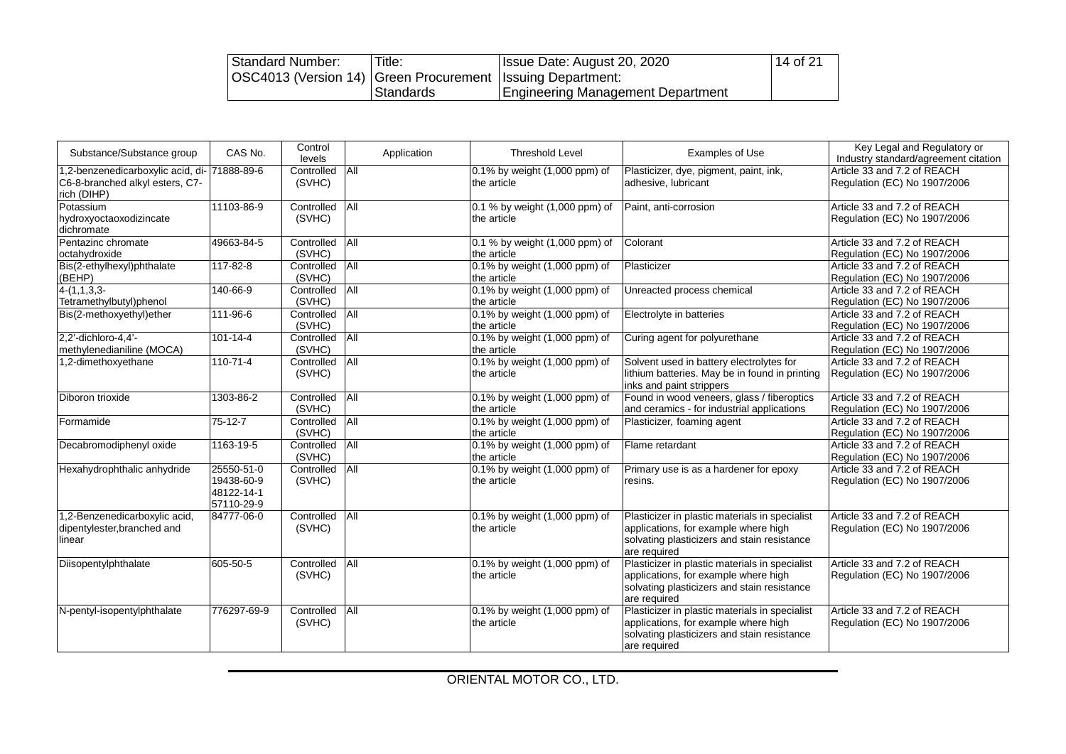| Standard Number:                                               | Title:    | Issue Date: August 20, 2020       | 14 of 21 |
|----------------------------------------------------------------|-----------|-----------------------------------|----------|
| OSC4013 (Version 14)   Green Procurement   Issuing Department: |           |                                   |          |
|                                                                | Standards | Engineering Management Department |          |

| Substance/Substance group                                                          | CAS No.                                              | Control<br>levels    | Application | <b>Threshold Level</b>                        | Examples of Use                                                                                                                                       | Key Legal and Regulatory or<br>Industry standard/agreement citation |
|------------------------------------------------------------------------------------|------------------------------------------------------|----------------------|-------------|-----------------------------------------------|-------------------------------------------------------------------------------------------------------------------------------------------------------|---------------------------------------------------------------------|
| ,2-benzenedicarboxylic acid, di-<br>C6-8-branched alkyl esters, C7-<br>rich (DIHP) | 71888-89-6                                           | Controlled<br>(SVHC) | <b>All</b>  | 0.1% by weight (1,000 ppm) of<br>the article  | Plasticizer, dye, pigment, paint, ink,<br>adhesive, lubricant                                                                                         | Article 33 and 7.2 of REACH<br>Regulation (EC) No 1907/2006         |
| Potassium<br>hydroxyoctaoxodizincate<br>dichromate                                 | 11103-86-9                                           | Controlled<br>(SVHC) | All         | 0.1 % by weight (1,000 ppm) of<br>the article | Paint, anti-corrosion                                                                                                                                 | Article 33 and 7.2 of REACH<br>Regulation (EC) No 1907/2006         |
| Pentazinc chromate<br>octahydroxide                                                | 49663-84-5                                           | Controlled<br>(SVHC) | All         | 0.1 % by weight (1,000 ppm) of<br>the article | Colorant                                                                                                                                              | Article 33 and 7.2 of REACH<br>Regulation (EC) No 1907/2006         |
| Bis(2-ethylhexyl)phthalate<br>(BEHP)                                               | 117-82-8                                             | Controlled<br>(SVHC) | All         | 0.1% by weight (1,000 ppm) of<br>the article  | Plasticizer                                                                                                                                           | Article 33 and 7.2 of REACH<br>Regulation (EC) No 1907/2006         |
| $4-(1,1,3,3-$<br>Tetramethylbutyl)phenol                                           | 140-66-9                                             | Controlled<br>(SVHC) | All         | 0.1% by weight (1,000 ppm) of<br>the article  | Unreacted process chemical                                                                                                                            | Article 33 and 7.2 of REACH<br>Regulation (EC) No 1907/2006         |
| Bis(2-methoxyethyl)ether                                                           | 111-96-6                                             | Controlled<br>(SVHC) | All         | 0.1% by weight (1,000 ppm) of<br>the article  | Electrolyte in batteries                                                                                                                              | Article 33 and 7.2 of REACH<br>Regulation (EC) No 1907/2006         |
| 2.2'-dichloro-4.4'-<br>methylenedianiline (MOCA)                                   | $101 - 14 - 4$                                       | Controlled<br>(SVHC) | All         | 0.1% by weight (1,000 ppm) of<br>the article  | Curing agent for polyurethane                                                                                                                         | Article 33 and 7.2 of REACH<br>Regulation (EC) No 1907/2006         |
| 1,2-dimethoxyethane                                                                | $110 - 71 - 4$                                       | Controlled<br>(SVHC) | All         | 0.1% by weight (1,000 ppm) of<br>the article  | Solvent used in battery electrolytes for<br>lithium batteries. May be in found in printing<br>inks and paint strippers                                | Article 33 and 7.2 of REACH<br>Regulation (EC) No 1907/2006         |
| Diboron trioxide                                                                   | 1303-86-2                                            | Controlled<br>(SVHC) | All         | 0.1% by weight (1,000 ppm) of<br>the article  | Found in wood veneers, glass / fiberoptics<br>and ceramics - for industrial applications                                                              | Article 33 and 7.2 of REACH<br>Regulation (EC) No 1907/2006         |
| Formamide                                                                          | $75 - 12 - 7$                                        | Controlled<br>(SVHC) | All         | 0.1% by weight (1,000 ppm) of<br>the article  | Plasticizer, foaming agent                                                                                                                            | Article 33 and 7.2 of REACH<br>Regulation (EC) No 1907/2006         |
| Decabromodiphenyl oxide                                                            | 1163-19-5                                            | Controlled<br>(SVHC) | All         | 0.1% by weight (1,000 ppm) of<br>the article  | Flame retardant                                                                                                                                       | Article 33 and 7.2 of REACH<br>Regulation (EC) No 1907/2006         |
| Hexahydrophthalic anhydride                                                        | 25550-51-0<br>19438-60-9<br>48122-14-1<br>57110-29-9 | Controlled<br>(SVHC) | All         | 0.1% by weight (1,000 ppm) of<br>the article  | Primary use is as a hardener for epoxy<br>resins.                                                                                                     | Article 33 and 7.2 of REACH<br>Regulation (EC) No 1907/2006         |
| ,2-Benzenedicarboxylic acid,<br>dipentylester, branched and<br>inear               | 84777-06-0                                           | Controlled<br>(SVHC) | <b>All</b>  | 0.1% by weight (1,000 ppm) of<br>the article  | Plasticizer in plastic materials in specialist<br>applications, for example where high<br>solvating plasticizers and stain resistance<br>are required | Article 33 and 7.2 of REACH<br>Regulation (EC) No 1907/2006         |
| Diisopentylphthalate                                                               | 605-50-5                                             | Controlled<br>(SVHC) | <b>All</b>  | 0.1% by weight (1,000 ppm) of<br>the article  | Plasticizer in plastic materials in specialist<br>applications, for example where high<br>solvating plasticizers and stain resistance<br>are required | Article 33 and 7.2 of REACH<br>Regulation (EC) No 1907/2006         |
| N-pentyl-isopentylphthalate                                                        | 776297-69-9                                          | Controlled<br>(SVHC) | All         | 0.1% by weight (1,000 ppm) of<br>the article  | Plasticizer in plastic materials in specialist<br>applications, for example where high<br>solvating plasticizers and stain resistance<br>are required | Article 33 and 7.2 of REACH<br>Regulation (EC) No 1907/2006         |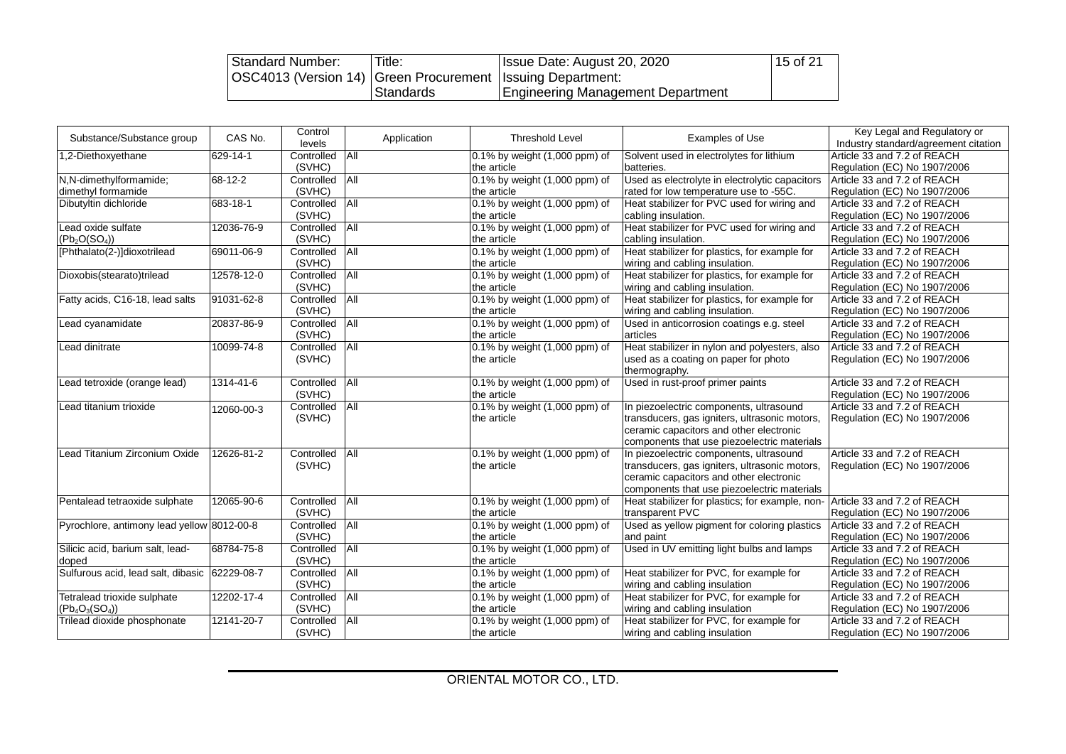| Standard Number:                                               | Title:    | Issue Date: August 20, 2020              | 15 of 21 |
|----------------------------------------------------------------|-----------|------------------------------------------|----------|
| OSC4013 (Version 14)   Green Procurement   Issuing Department: |           |                                          |          |
|                                                                | Standards | <b>Engineering Management Department</b> |          |

| Substance/Substance group                                   | CAS No.    | Control<br>levels    | Application | <b>Threshold Level</b>                       | <b>Examples of Use</b>                                                                                                                                                             | Key Legal and Regulatory or<br>Industry standard/agreement citation |
|-------------------------------------------------------------|------------|----------------------|-------------|----------------------------------------------|------------------------------------------------------------------------------------------------------------------------------------------------------------------------------------|---------------------------------------------------------------------|
| 1,2-Diethoxyethane                                          | 629-14-1   | Controlled<br>(SVHC) | All         | 0.1% by weight (1,000 ppm) of<br>the article | Solvent used in electrolytes for lithium<br>batteries.                                                                                                                             | Article 33 and 7.2 of REACH<br>Regulation (EC) No 1907/2006         |
| N,N-dimethylformamide;<br>dimethyl formamide                | 68-12-2    | Controlled<br>(SVHC) | All         | 0.1% by weight (1,000 ppm) of<br>the article | Used as electrolyte in electrolytic capacitors<br>rated for low temperature use to -55C.                                                                                           | Article 33 and 7.2 of REACH<br>Regulation (EC) No 1907/2006         |
| Dibutyltin dichloride                                       | 683-18-1   | Controlled<br>(SVHC) | All         | 0.1% by weight (1,000 ppm) of<br>the article | Heat stabilizer for PVC used for wiring and<br>cabling insulation.                                                                                                                 | Article 33 and 7.2 of REACH<br>Regulation (EC) No 1907/2006         |
| Lead oxide sulfate<br>(Pb <sub>2</sub> O(SO <sub>4</sub> )) | 12036-76-9 | Controlled<br>(SVHC) | All         | 0.1% by weight (1,000 ppm) of<br>the article | Heat stabilizer for PVC used for wiring and<br>cabling insulation.                                                                                                                 | Article 33 and 7.2 of REACH<br>Regulation (EC) No 1907/2006         |
| [Phthalato(2-)]dioxotrilead                                 | 69011-06-9 | Controlled<br>(SVHC) | All         | 0.1% by weight (1,000 ppm) of<br>the article | Heat stabilizer for plastics, for example for<br>wiring and cabling insulation.                                                                                                    | Article 33 and 7.2 of REACH<br>Regulation (EC) No 1907/2006         |
| Dioxobis(stearato)trilead                                   | 12578-12-0 | Controlled<br>(SVHC) | All         | 0.1% by weight (1,000 ppm) of<br>the article | Heat stabilizer for plastics, for example for<br>wiring and cabling insulation.                                                                                                    | Article 33 and 7.2 of REACH<br>Regulation (EC) No 1907/2006         |
| Fatty acids, C16-18, lead salts                             | 91031-62-8 | Controlled<br>(SVHC) | All         | 0.1% by weight (1,000 ppm) of<br>the article | Heat stabilizer for plastics, for example for<br>wiring and cabling insulation.                                                                                                    | Article 33 and 7.2 of REACH<br>Regulation (EC) No 1907/2006         |
| Lead cyanamidate                                            | 20837-86-9 | Controlled<br>(SVHC) | All         | 0.1% by weight (1,000 ppm) of<br>the article | Used in anticorrosion coatings e.g. steel<br>articles                                                                                                                              | Article 33 and 7.2 of REACH<br>Regulation (EC) No 1907/2006         |
| Lead dinitrate                                              | 10099-74-8 | Controlled<br>(SVHC) | All         | 0.1% by weight (1,000 ppm) of<br>the article | Heat stabilizer in nylon and polyesters, also<br>used as a coating on paper for photo<br>thermography.                                                                             | Article 33 and 7.2 of REACH<br>Regulation (EC) No 1907/2006         |
| Lead tetroxide (orange lead)                                | 1314-41-6  | Controlled<br>(SVHC) | All         | 0.1% by weight (1,000 ppm) of<br>the article | Used in rust-proof primer paints                                                                                                                                                   | Article 33 and 7.2 of REACH<br>Regulation (EC) No 1907/2006         |
| Lead titanium trioxide                                      | 12060-00-3 | Controlled<br>(SVHC) | All         | 0.1% by weight (1,000 ppm) of<br>the article | In piezoelectric components, ultrasound<br>transducers, gas igniters, ultrasonic motors,<br>ceramic capacitors and other electronic<br>components that use piezoelectric materials | Article 33 and 7.2 of REACH<br>Regulation (EC) No 1907/2006         |
| Lead Titanium Zirconium Oxide                               | 12626-81-2 | Controlled<br>(SVHC) | <b>All</b>  | 0.1% by weight (1,000 ppm) of<br>the article | In piezoelectric components, ultrasound<br>transducers, gas igniters, ultrasonic motors,<br>ceramic capacitors and other electronic<br>components that use piezoelectric materials | Article 33 and 7.2 of REACH<br>Regulation (EC) No 1907/2006         |
| Pentalead tetraoxide sulphate                               | 12065-90-6 | Controlled<br>(SVHC) | All         | 0.1% by weight (1,000 ppm) of<br>the article | Heat stabilizer for plastics; for example, non- Article 33 and 7.2 of REACH<br>transparent PVC                                                                                     | Regulation (EC) No 1907/2006                                        |
| Pyrochlore, antimony lead yellow 8012-00-8                  |            | Controlled<br>(SVHC) | All         | 0.1% by weight (1,000 ppm) of<br>the article | Used as yellow pigment for coloring plastics<br>and paint                                                                                                                          | Article 33 and 7.2 of REACH<br>Regulation (EC) No 1907/2006         |
| Silicic acid, barium salt, lead-<br>doped                   | 68784-75-8 | Controlled<br>(SVHC) | All         | 0.1% by weight (1,000 ppm) of<br>the article | Used in UV emitting light bulbs and lamps                                                                                                                                          | Article 33 and 7.2 of REACH<br>Regulation (EC) No 1907/2006         |
| Sulfurous acid, lead salt, dibasic 62229-08-7               |            | Controlled<br>(SVHC) | All         | 0.1% by weight (1,000 ppm) of<br>the article | Heat stabilizer for PVC, for example for<br>wiring and cabling insulation                                                                                                          | Article 33 and 7.2 of REACH<br>Regulation (EC) No 1907/2006         |
| Tetralead trioxide sulphate<br>$(Pb4O3(SO4))$               | 12202-17-4 | Controlled<br>(SVHC) | All         | 0.1% by weight (1,000 ppm) of<br>the article | Heat stabilizer for PVC, for example for<br>wiring and cabling insulation                                                                                                          | Article 33 and 7.2 of REACH<br>Regulation (EC) No 1907/2006         |
| Trilead dioxide phosphonate                                 | 12141-20-7 | Controlled<br>(SVHC) | All         | 0.1% by weight (1,000 ppm) of<br>the article | Heat stabilizer for PVC, for example for<br>wiring and cabling insulation                                                                                                          | Article 33 and 7.2 of REACH<br>Regulation (EC) No 1907/2006         |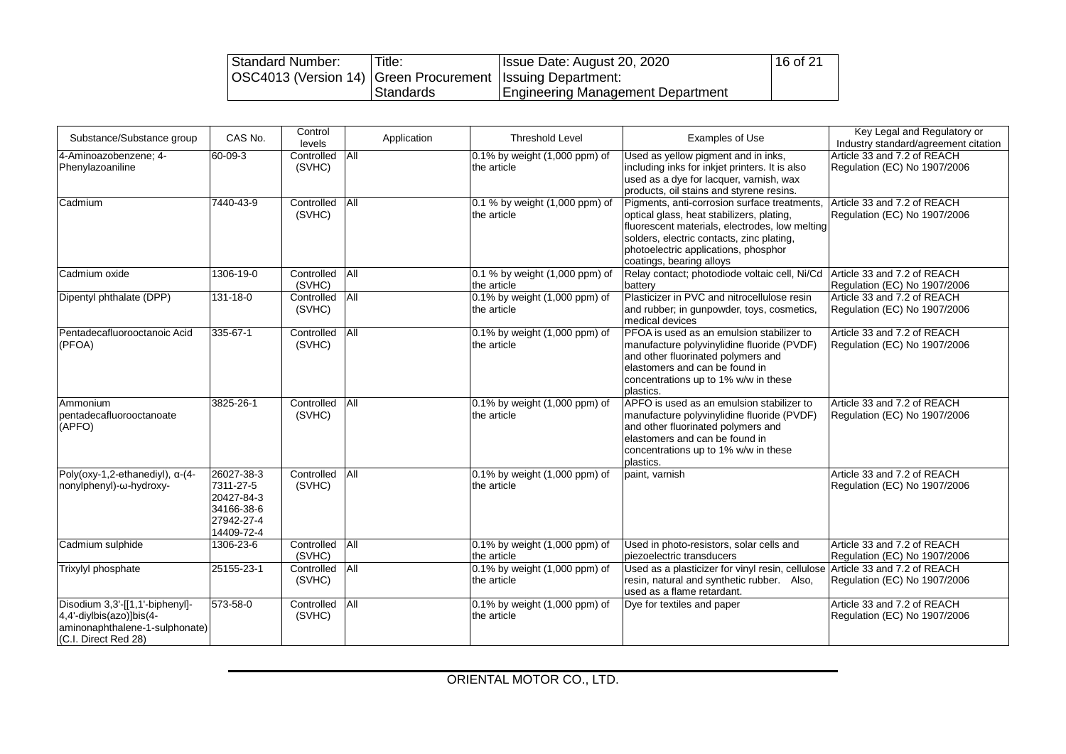| Standard Number:                                               | Title:    | Issue Date: August 20, 2020                | 16 of 21 |
|----------------------------------------------------------------|-----------|--------------------------------------------|----------|
| OSC4013 (Version 14)   Green Procurement   Issuing Department: |           |                                            |          |
|                                                                | Standards | <b>I Engineering Management Department</b> |          |

| Substance/Substance group                                                                                             | CAS No.                                                                         | Control<br>levels    | Application    | <b>Threshold Level</b>                        | <b>Examples of Use</b>                                                                                                                                                                                                                                       | Key Legal and Regulatory or<br>Industry standard/agreement citation |
|-----------------------------------------------------------------------------------------------------------------------|---------------------------------------------------------------------------------|----------------------|----------------|-----------------------------------------------|--------------------------------------------------------------------------------------------------------------------------------------------------------------------------------------------------------------------------------------------------------------|---------------------------------------------------------------------|
| 4-Aminoazobenzene; 4-<br>Phenylazoaniline                                                                             | $60 - 09 - 3$                                                                   | Controlled<br>(SVHC) | AII            | 0.1% by weight (1,000 ppm) of<br>the article  | Used as yellow pigment and in inks,<br>including inks for inkjet printers. It is also<br>used as a dye for lacquer, varnish, wax<br>products, oil stains and styrene resins.                                                                                 | Article 33 and 7.2 of REACH<br>Regulation (EC) No 1907/2006         |
| Cadmium                                                                                                               | 7440-43-9                                                                       | Controlled<br>(SVHC) | All            | 0.1 % by weight (1,000 ppm) of<br>the article | Pigments, anti-corrosion surface treatments.<br>optical glass, heat stabilizers, plating,<br>fluorescent materials, electrodes, low melting<br>solders, electric contacts, zinc plating,<br>photoelectric applications, phosphor<br>coatings, bearing alloys | Article 33 and 7.2 of REACH<br>Regulation (EC) No 1907/2006         |
| Cadmium oxide                                                                                                         | 1306-19-0                                                                       | Controlled<br>(SVHC) | <b>AII</b>     | 0.1 % by weight (1,000 ppm) of<br>the article | Relay contact; photodiode voltaic cell, Ni/Cd<br>battery                                                                                                                                                                                                     | Article 33 and 7.2 of REACH<br>Regulation (EC) No 1907/2006         |
| Dipentyl phthalate (DPP)                                                                                              | $131 - 18 - 0$                                                                  | Controlled<br>(SVHC) | $\overline{A}$ | 0.1% by weight (1,000 ppm) of<br>the article  | Plasticizer in PVC and nitrocellulose resin<br>and rubber; in gunpowder, toys, cosmetics,<br>medical devices                                                                                                                                                 | Article 33 and 7.2 of REACH<br>Regulation (EC) No 1907/2006         |
| Pentadecafluorooctanoic Acid<br>(PFOA)                                                                                | 335-67-1                                                                        | Controlled<br>(SVHC) | All            | 0.1% by weight (1,000 ppm) of<br>the article  | PFOA is used as an emulsion stabilizer to<br>manufacture polyvinylidine fluoride (PVDF)<br>and other fluorinated polymers and<br>elastomers and can be found in<br>concentrations up to 1% w/w in these<br>plastics.                                         | Article 33 and 7.2 of REACH<br>Regulation (EC) No 1907/2006         |
| Ammonium<br>pentadecafluorooctanoate<br>(APFO)                                                                        | 3825-26-1                                                                       | Controlled<br>(SVHC) | $\overline{A}$ | 0.1% by weight (1,000 ppm) of<br>the article  | APFO is used as an emulsion stabilizer to<br>manufacture polyvinylidine fluoride (PVDF)<br>and other fluorinated polymers and<br>elastomers and can be found in<br>concentrations up to 1% w/w in these<br>plastics.                                         | Article 33 and 7.2 of REACH<br>Regulation (EC) No 1907/2006         |
| Poly(oxy-1,2-ethanediyl), a-(4-<br>nonylphenyl)-ω-hydroxy-                                                            | 26027-38-3<br>7311-27-5<br>20427-84-3<br>34166-38-6<br>27942-27-4<br>14409-72-4 | Controlled<br>(SVHC) | All            | 0.1% by weight (1,000 ppm) of<br>the article  | paint, varnish                                                                                                                                                                                                                                               | Article 33 and 7.2 of REACH<br>Regulation (EC) No 1907/2006         |
| Cadmium sulphide                                                                                                      | 1306-23-6                                                                       | Controlled<br>(SVHC) | <b>All</b>     | 0.1% by weight (1,000 ppm) of<br>the article  | Used in photo-resistors, solar cells and<br>piezoelectric transducers                                                                                                                                                                                        | Article 33 and 7.2 of REACH<br>Regulation (EC) No 1907/2006         |
| Trixylyl phosphate                                                                                                    | 25155-23-1                                                                      | Controlled<br>(SVHC) | <b>All</b>     | 0.1% by weight (1,000 ppm) of<br>the article  | Used as a plasticizer for vinyl resin, cellulose Article 33 and 7.2 of REACH<br>resin, natural and synthetic rubber. Also,<br>used as a flame retardant.                                                                                                     | Regulation (EC) No 1907/2006                                        |
| Disodium 3,3'-[[1,1'-biphenyl]-<br>4,4'-diylbis(azo)]bis(4-<br>aminonaphthalene-1-sulphonate)<br>(C.I. Direct Red 28) | 573-58-0                                                                        | Controlled<br>(SVHC) | All            | 0.1% by weight (1,000 ppm) of<br>the article  | Dye for textiles and paper                                                                                                                                                                                                                                   | Article 33 and 7.2 of REACH<br>Regulation (EC) No 1907/2006         |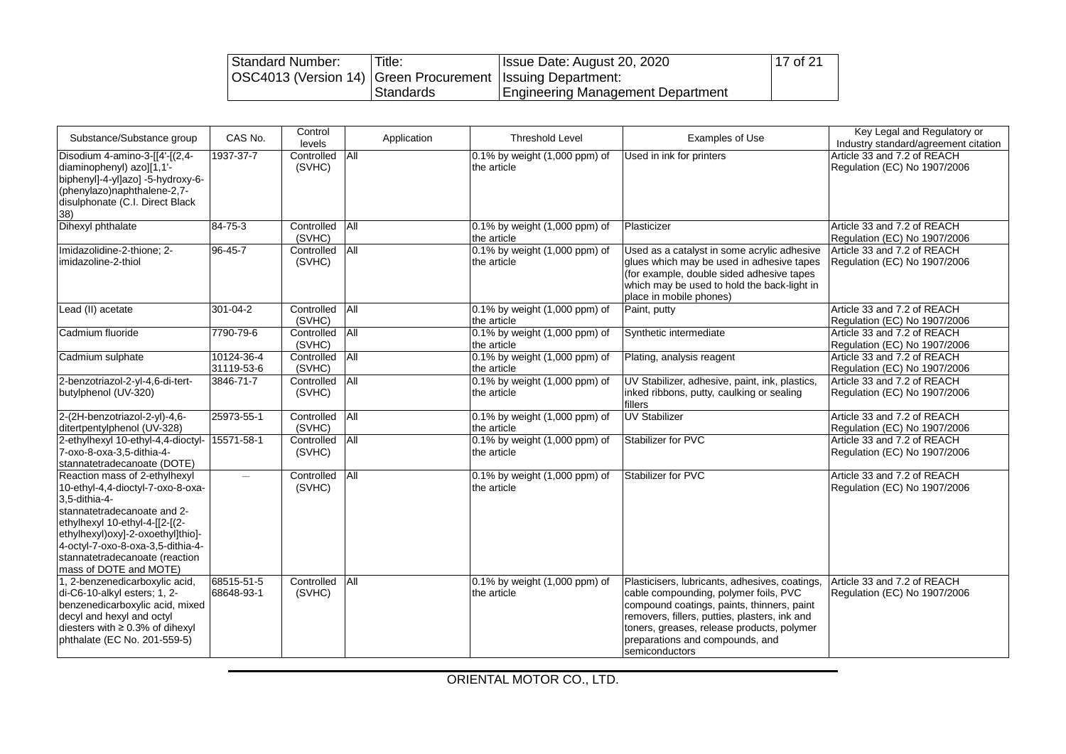| Standard Number:                                               | Title:    | Issue Date: August 20, 2020       | 17 of 21 |
|----------------------------------------------------------------|-----------|-----------------------------------|----------|
| OSC4013 (Version 14)   Green Procurement   Issuing Department: |           |                                   |          |
|                                                                | Standards | Engineering Management Department |          |

| Substance/Substance group                                                                                                                                                                                                                                                                  | CAS No.                  | Control<br>levels        | Application | <b>Threshold Level</b>                            | <b>Examples of Use</b>                                                                                                                                                                                                                                                                    | Key Legal and Regulatory or<br>Industry standard/agreement citation |
|--------------------------------------------------------------------------------------------------------------------------------------------------------------------------------------------------------------------------------------------------------------------------------------------|--------------------------|--------------------------|-------------|---------------------------------------------------|-------------------------------------------------------------------------------------------------------------------------------------------------------------------------------------------------------------------------------------------------------------------------------------------|---------------------------------------------------------------------|
| Disodium 4-amino-3-[[4'-[(2,4-<br>diaminophenyl) azo][1,1'-<br>biphenyl]-4-yl]azo] -5-hydroxy-6-<br>(phenylazo)naphthalene-2,7-<br>disulphonate (C.I. Direct Black<br>38)                                                                                                                  | 1937-37-7                | Controlled<br>(SVHC)     | All         | 0.1% by weight (1,000 ppm) of<br>the article      | Used in ink for printers                                                                                                                                                                                                                                                                  | Article 33 and 7.2 of REACH<br>Regulation (EC) No 1907/2006         |
| Dihexyl phthalate                                                                                                                                                                                                                                                                          | 84-75-3                  | Controlled<br>(SVHC)     | All         | 0.1% by weight (1,000 ppm) of<br>the article      | Plasticizer                                                                                                                                                                                                                                                                               | Article 33 and 7.2 of REACH<br>Regulation (EC) No 1907/2006         |
| Imidazolidine-2-thione; 2-<br>limidazoline-2-thiol                                                                                                                                                                                                                                         | 96-45-7                  | Controlled<br>(SVHC)     | All         | 0.1% by weight (1,000 ppm) of<br>the article      | Used as a catalyst in some acrylic adhesive<br>glues which may be used in adhesive tapes<br>(for example, double sided adhesive tapes)<br>which may be used to hold the back-light in<br>place in mobile phones)                                                                          | Article 33 and 7.2 of REACH<br>Regulation (EC) No 1907/2006         |
| Lead (II) acetate                                                                                                                                                                                                                                                                          | 301-04-2                 | Controlled All<br>(SVHC) |             | 0.1% by weight (1,000 ppm) of<br>the article      | Paint, putty                                                                                                                                                                                                                                                                              | Article 33 and 7.2 of REACH<br>Regulation (EC) No 1907/2006         |
| Cadmium fluoride                                                                                                                                                                                                                                                                           | 7790-79-6                | Controlled<br>(SVHC)     | All         | 0.1% by weight (1,000 ppm) of<br>the article      | Synthetic intermediate                                                                                                                                                                                                                                                                    | Article 33 and 7.2 of REACH<br>Regulation (EC) No 1907/2006         |
| Cadmium sulphate                                                                                                                                                                                                                                                                           | 10124-36-4<br>31119-53-6 | Controlled<br>(SVHC)     | <b>All</b>  | 0.1% by weight (1,000 ppm) of<br>the article      | Plating, analysis reagent                                                                                                                                                                                                                                                                 | Article 33 and 7.2 of REACH<br>Regulation (EC) No 1907/2006         |
| 2-benzotriazol-2-yl-4,6-di-tert-<br>butylphenol (UV-320)                                                                                                                                                                                                                                   | 3846-71-7                | Controlled<br>(SVHC)     | All         | 0.1% by weight (1,000 ppm) of<br>the article      | UV Stabilizer, adhesive, paint, ink, plastics,<br>inked ribbons, putty, caulking or sealing<br>fillers                                                                                                                                                                                    | Article 33 and 7.2 of REACH<br>Regulation (EC) No 1907/2006         |
| 2-(2H-benzotriazol-2-yl)-4,6-<br>ditertpentylphenol (UV-328)                                                                                                                                                                                                                               | 25973-55-1               | Controlled<br>(SVHC)     | All         | 0.1% by weight (1,000 ppm) of<br>the article      | <b>UV Stabilizer</b>                                                                                                                                                                                                                                                                      | Article 33 and 7.2 of REACH<br>Regulation (EC) No 1907/2006         |
| 2-ethylhexyl 10-ethyl-4,4-dioctyl-<br>7-oxo-8-oxa-3,5-dithia-4-<br>stannatetradecanoate (DOTE)                                                                                                                                                                                             | 15571-58-1               | Controlled<br>(SVHC)     | All         | 0.1% by weight (1,000 ppm) of<br>the article      | Stabilizer for PVC                                                                                                                                                                                                                                                                        | Article 33 and 7.2 of REACH<br>Regulation (EC) No 1907/2006         |
| Reaction mass of 2-ethylhexyl<br>10-ethyl-4,4-dioctyl-7-oxo-8-oxa-<br>3,5-dithia-4-<br>stannatetradecanoate and 2-<br>ethylhexyl 10-ethyl-4-[[2-[(2-<br>ethylhexyl)oxy]-2-oxoethyl]thio]-<br>4-octyl-7-oxo-8-oxa-3,5-dithia-4-<br>stannatetradecanoate (reaction<br>mass of DOTE and MOTE) | $\qquad \qquad -$        | Controlled<br>(SVHC)     | All         | 0.1% by weight (1,000 ppm) of<br>the article      | Stabilizer for PVC                                                                                                                                                                                                                                                                        | Article 33 and 7.2 of REACH<br>Regulation (EC) No 1907/2006         |
| 1, 2-benzenedicarboxylic acid,<br>di-C6-10-alkyl esters; 1, 2-<br>benzenedicarboxylic acid, mixed<br>decyl and hexyl and octyl<br>diesters with ≥ 0.3% of dihexyl<br>phthalate (EC No. 201-559-5)                                                                                          | 68515-51-5<br>68648-93-1 | Controlled<br>(SVHC)     | All         | $0.1\%$ by weight $(1,000$ ppm) of<br>the article | Plasticisers, lubricants, adhesives, coatings,<br>cable compounding, polymer foils, PVC<br>compound coatings, paints, thinners, paint<br>removers, fillers, putties, plasters, ink and<br>toners, greases, release products, polymer<br>preparations and compounds, and<br>semiconductors | Article 33 and 7.2 of REACH<br>Regulation (EC) No 1907/2006         |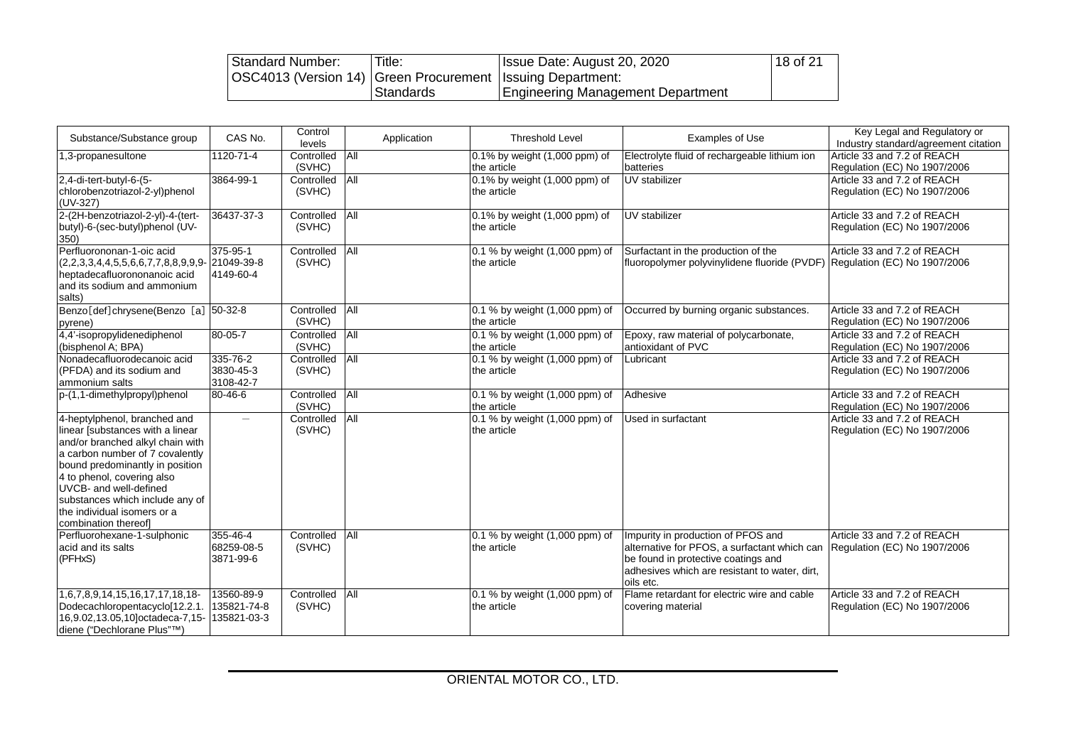| Standard Number:                                               | Title:    | Issue Date: August 20, 2020       | 18 of 21 |
|----------------------------------------------------------------|-----------|-----------------------------------|----------|
| OSC4013 (Version 14)   Green Procurement   Issuing Department: |           |                                   |          |
|                                                                | Standards | Engineering Management Department |          |

| Substance/Substance group                                                                                                                                                                                                                                                                                                    | CAS No.                                  | Control<br>levels    | Application | <b>Threshold Level</b>                        | <b>Examples of Use</b>                                                                                                                                                                  | Key Legal and Regulatory or<br>Industry standard/agreement citation |
|------------------------------------------------------------------------------------------------------------------------------------------------------------------------------------------------------------------------------------------------------------------------------------------------------------------------------|------------------------------------------|----------------------|-------------|-----------------------------------------------|-----------------------------------------------------------------------------------------------------------------------------------------------------------------------------------------|---------------------------------------------------------------------|
| 1,3-propanesultone                                                                                                                                                                                                                                                                                                           | 1120-71-4                                | Controlled<br>(SVHC) | All         | 0.1% by weight (1,000 ppm) of<br>the article  | Electrolyte fluid of rechargeable lithium ion<br>batteries                                                                                                                              | Article 33 and 7.2 of REACH<br>Regulation (EC) No 1907/2006         |
| 2,4-di-tert-butyl-6-(5-<br>chlorobenzotriazol-2-yl)phenol<br>(UV-327)                                                                                                                                                                                                                                                        | 3864-99-1                                | Controlled<br>(SVHC) | All         | 0.1% by weight (1,000 ppm) of<br>the article  | UV stabilizer                                                                                                                                                                           | Article 33 and 7.2 of REACH<br>Regulation (EC) No 1907/2006         |
| 2-(2H-benzotriazol-2-yl)-4-(tert-<br>butyl)-6-(sec-butyl)phenol (UV-<br>350)                                                                                                                                                                                                                                                 | 36437-37-3                               | Controlled<br>(SVHC) | All         | 0.1% by weight (1,000 ppm) of<br>the article  | UV stabilizer                                                                                                                                                                           | Article 33 and 7.2 of REACH<br>Regulation (EC) No 1907/2006         |
| Perfluorononan-1-oic acid<br>$(2,2,3,3,4,4,5,5,6,6,7,7,8,8,9,9,9 -   21049-39-8$<br>heptadecafluorononanoic acid<br>and its sodium and ammonium<br>salts)                                                                                                                                                                    | 375-95-1<br>4149-60-4                    | Controlled<br>(SVHC) | All         | 0.1 % by weight (1,000 ppm) of<br>the article | Surfactant in the production of the<br>fluoropolymer polyvinylidene fluoride (PVDF) Regulation (EC) No 1907/2006                                                                        | Article 33 and 7.2 of REACH                                         |
| Benzo[def]chrysene(Benzo [a] 50-32-8<br>pyrene)                                                                                                                                                                                                                                                                              |                                          | Controlled<br>(SVHC) | All         | 0.1 % by weight (1,000 ppm) of<br>the article | Occurred by burning organic substances.                                                                                                                                                 | Article 33 and 7.2 of REACH<br>Regulation (EC) No 1907/2006         |
| 4,4'-isopropylidenediphenol<br>(bisphenol A; BPA)                                                                                                                                                                                                                                                                            | 80-05-7                                  | Controlled<br>(SVHC) | All         | 0.1 % by weight (1,000 ppm) of<br>the article | Epoxy, raw material of polycarbonate,<br>antioxidant of PVC                                                                                                                             | Article 33 and 7.2 of REACH<br>Regulation (EC) No 1907/2006         |
| Nonadecafluorodecanoic acid<br>(PFDA) and its sodium and<br>lammonium salts                                                                                                                                                                                                                                                  | 335-76-2<br>3830-45-3<br>3108-42-7       | Controlled<br>(SVHC) | All         | 0.1 % by weight (1,000 ppm) of<br>the article | Lubricant                                                                                                                                                                               | Article 33 and 7.2 of REACH<br>Regulation (EC) No 1907/2006         |
| p-(1,1-dimethylpropyl)phenol                                                                                                                                                                                                                                                                                                 | 80-46-6                                  | Controlled<br>(SVHC) | All         | 0.1 % by weight (1,000 ppm) of<br>the article | Adhesive                                                                                                                                                                                | Article 33 and 7.2 of REACH<br>Regulation (EC) No 1907/2006         |
| 4-heptylphenol, branched and<br>linear [substances with a linear<br>and/or branched alkyl chain with<br>a carbon number of 7 covalently<br>bound predominantly in position<br>4 to phenol, covering also<br>UVCB- and well-defined<br>substances which include any of<br>the individual isomers or a<br>combination thereof] |                                          | Controlled<br>(SVHC) | All         | 0.1 % by weight (1,000 ppm) of<br>the article | <b>Used in surfactant</b>                                                                                                                                                               | Article 33 and 7.2 of REACH<br>Regulation (EC) No 1907/2006         |
| Perfluorohexane-1-sulphonic<br>acid and its salts<br>(PFHxS)                                                                                                                                                                                                                                                                 | 355-46-4<br>68259-08-5<br>3871-99-6      | Controlled<br>(SVHC) | All         | 0.1 % by weight (1,000 ppm) of<br>the article | Impurity in production of PFOS and<br>alternative for PFOS, a surfactant which can<br>be found in protective coatings and<br>adhesives which are resistant to water, dirt,<br>oils etc. | Article 33 and 7.2 of REACH<br>Regulation (EC) No 1907/2006         |
| 1,6,7,8,9,14,15,16,17,17,18,18-<br>Dodecachloropentacyclo[12.2.1.<br>16,9.02,13.05,10]octadeca-7,15-<br>diene ("Dechlorane Plus"™)                                                                                                                                                                                           | 13560-89-9<br>135821-74-8<br>135821-03-3 | Controlled<br>(SVHC) | All         | 0.1 % by weight (1,000 ppm) of<br>the article | Flame retardant for electric wire and cable<br>covering material                                                                                                                        | Article 33 and 7.2 of REACH<br>Regulation (EC) No 1907/2006         |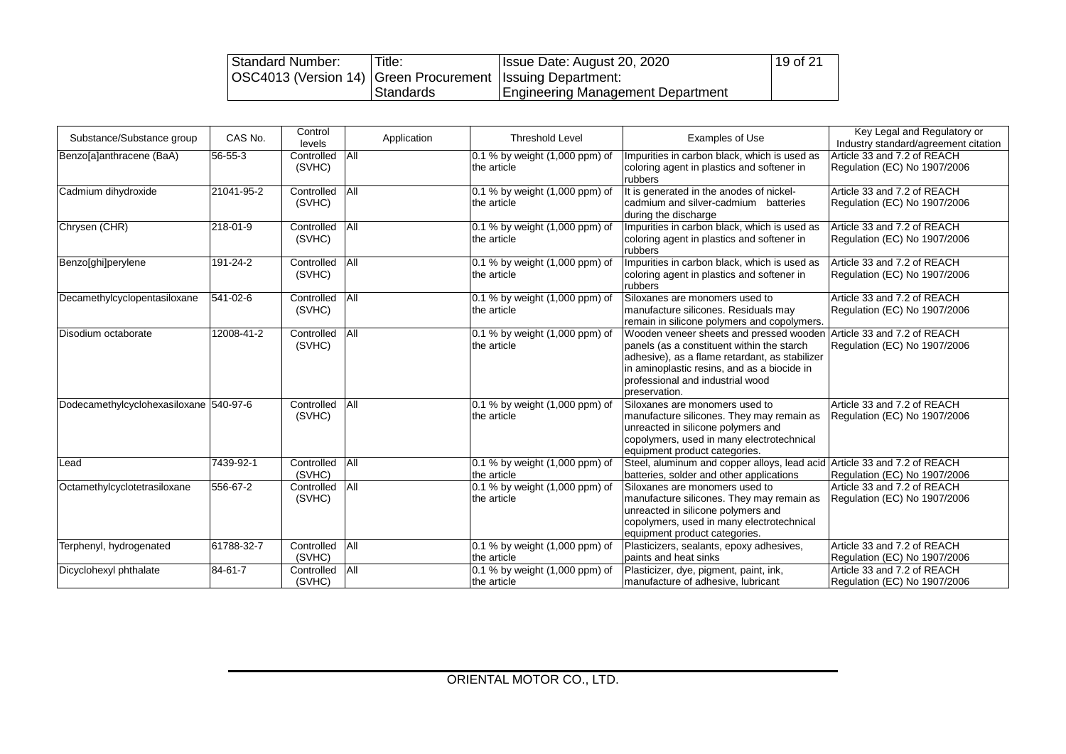| Standard Number:                                               | Title:    | Issue Date: August 20, 2020       | $19$ of 21 |
|----------------------------------------------------------------|-----------|-----------------------------------|------------|
| OSC4013 (Version 14)   Green Procurement   Issuing Department: |           |                                   |            |
|                                                                | Standards | Engineering Management Department |            |

| Substance/Substance group              | CAS No.    | Control<br>levels    | Application | <b>Threshold Level</b>                        | <b>Examples of Use</b>                                                                                                                                                                                                                                                  | Key Legal and Regulatory or<br>Industry standard/agreement citation |
|----------------------------------------|------------|----------------------|-------------|-----------------------------------------------|-------------------------------------------------------------------------------------------------------------------------------------------------------------------------------------------------------------------------------------------------------------------------|---------------------------------------------------------------------|
| Benzo[a]anthracene (BaA)               | 56-55-3    | Controlled<br>(SVHC) | <b>All</b>  | 0.1 % by weight (1,000 ppm) of<br>the article | Impurities in carbon black, which is used as<br>coloring agent in plastics and softener in<br>rubbers                                                                                                                                                                   | Article 33 and 7.2 of REACH<br>Regulation (EC) No 1907/2006         |
| Cadmium dihydroxide                    | 21041-95-2 | Controlled<br>(SVHC) | <b>All</b>  | 0.1 % by weight (1,000 ppm) of<br>the article | It is generated in the anodes of nickel-<br>cadmium and silver-cadmium batteries<br>during the discharge                                                                                                                                                                | Article 33 and 7.2 of REACH<br>Regulation (EC) No 1907/2006         |
| Chrysen (CHR)                          | 218-01-9   | Controlled<br>(SVHC) | <b>All</b>  | 0.1 % by weight (1,000 ppm) of<br>the article | Impurities in carbon black, which is used as<br>coloring agent in plastics and softener in<br>rubbers                                                                                                                                                                   | Article 33 and 7.2 of REACH<br>Regulation (EC) No 1907/2006         |
| Benzo[ghi]perylene                     | 191-24-2   | Controlled<br>(SVHC) | All         | 0.1 % by weight (1,000 ppm) of<br>the article | Impurities in carbon black, which is used as<br>coloring agent in plastics and softener in<br>rubbers                                                                                                                                                                   | Article 33 and 7.2 of REACH<br>Regulation (EC) No 1907/2006         |
| Decamethylcyclopentasiloxane           | 541-02-6   | Controlled<br>(SVHC) | All         | 0.1 % by weight (1,000 ppm) of<br>the article | Siloxanes are monomers used to<br>manufacture silicones. Residuals may<br>remain in silicone polymers and copolymers.                                                                                                                                                   | Article 33 and 7.2 of REACH<br>Regulation (EC) No 1907/2006         |
| Disodium octaborate                    | 12008-41-2 | Controlled<br>(SVHC) | All         | 0.1 % by weight (1,000 ppm) of<br>the article | Wooden veneer sheets and pressed wooden Article 33 and 7.2 of REACH<br>panels (as a constituent within the starch<br>adhesive), as a flame retardant, as stabilizer<br>in aminoplastic resins, and as a biocide in<br>professional and industrial wood<br>preservation. | Regulation (EC) No 1907/2006                                        |
| Dodecamethylcyclohexasiloxane 540-97-6 |            | Controlled<br>(SVHC) | All         | 0.1 % by weight (1,000 ppm) of<br>the article | Siloxanes are monomers used to<br>manufacture silicones. They may remain as<br>unreacted in silicone polymers and<br>copolymers, used in many electrotechnical<br>equipment product categories.                                                                         | Article 33 and 7.2 of REACH<br>Regulation (EC) No 1907/2006         |
| Lead                                   | 7439-92-1  | Controlled<br>(SVHC) | <b>All</b>  | 0.1 % by weight (1,000 ppm) of<br>the article | Steel, aluminum and copper alloys, lead acid Article 33 and 7.2 of REACH<br>batteries, solder and other applications                                                                                                                                                    | Regulation (EC) No 1907/2006                                        |
| Octamethylcyclotetrasiloxane           | 556-67-2   | Controlled<br>(SVHC) | All         | 0.1 % by weight (1,000 ppm) of<br>the article | Siloxanes are monomers used to<br>manufacture silicones. They may remain as<br>unreacted in silicone polymers and<br>copolymers, used in many electrotechnical<br>equipment product categories.                                                                         | Article 33 and 7.2 of REACH<br>Regulation (EC) No 1907/2006         |
| Terphenyl, hydrogenated                | 61788-32-7 | Controlled<br>(SVHC) | All         | 0.1 % by weight (1,000 ppm) of<br>the article | Plasticizers, sealants, epoxy adhesives,<br>paints and heat sinks                                                                                                                                                                                                       | Article 33 and 7.2 of REACH<br>Regulation (EC) No 1907/2006         |
| Dicyclohexyl phthalate                 | 84-61-7    | Controlled<br>(SVHC) | All         | 0.1 % by weight (1,000 ppm) of<br>the article | Plasticizer, dye, pigment, paint, ink,<br>manufacture of adhesive, lubricant                                                                                                                                                                                            | Article 33 and 7.2 of REACH<br>Regulation (EC) No 1907/2006         |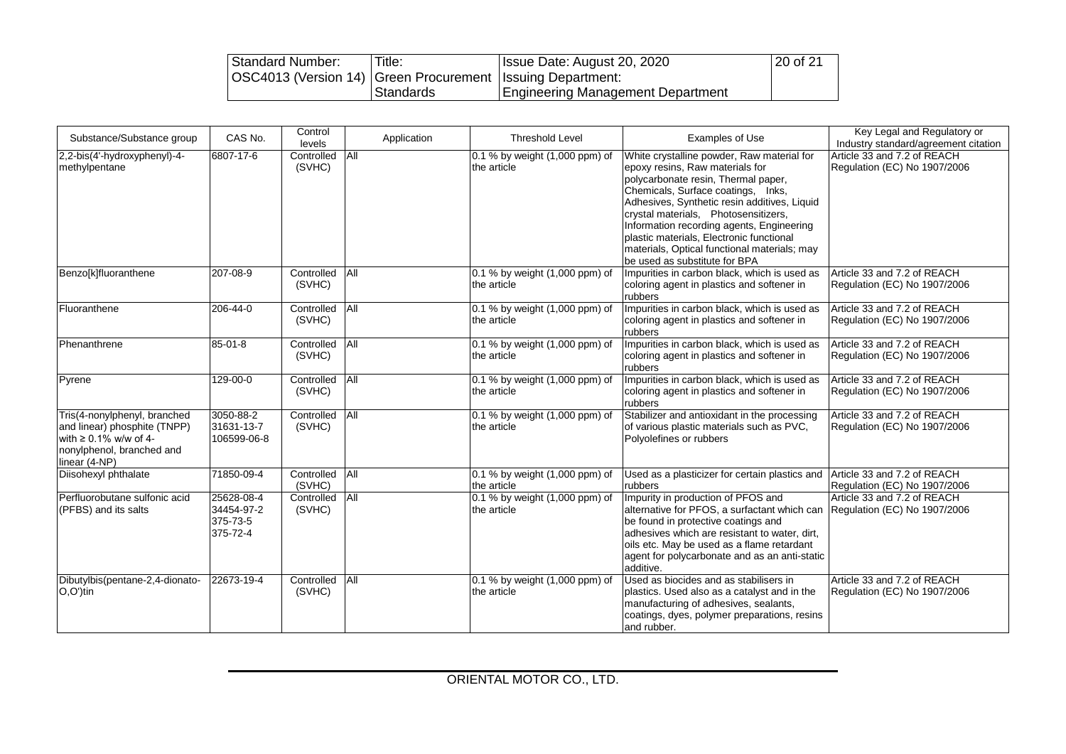| Standard Number:                                               | Title:    | Issue Date: August 20, 2020              | 20 of 21 |
|----------------------------------------------------------------|-----------|------------------------------------------|----------|
| OSC4013 (Version 14)   Green Procurement   Issuing Department: |           |                                          |          |
|                                                                | Standards | <b>Engineering Management Department</b> |          |

| Substance/Substance group                                                                                                                 | CAS No.                                          | Control<br>levels    | Application | <b>Threshold Level</b>                        | Examples of Use                                                                                                                                                                                                                                                                                                                                                                                                              | Key Legal and Regulatory or<br>Industry standard/agreement citation |
|-------------------------------------------------------------------------------------------------------------------------------------------|--------------------------------------------------|----------------------|-------------|-----------------------------------------------|------------------------------------------------------------------------------------------------------------------------------------------------------------------------------------------------------------------------------------------------------------------------------------------------------------------------------------------------------------------------------------------------------------------------------|---------------------------------------------------------------------|
| 2,2-bis(4'-hydroxyphenyl)-4-<br>methylpentane                                                                                             | 6807-17-6                                        | Controlled<br>(SVHC) | All         | 0.1 % by weight (1,000 ppm) of<br>the article | White crystalline powder, Raw material for<br>epoxy resins, Raw materials for<br>polycarbonate resin, Thermal paper,<br>Chemicals, Surface coatings, Inks,<br>Adhesives, Synthetic resin additives, Liquid<br>crystal materials, Photosensitizers,<br>Information recording agents, Engineering<br>plastic materials, Electronic functional<br>materials, Optical functional materials; may<br>be used as substitute for BPA | Article 33 and 7.2 of REACH<br>Regulation (EC) No 1907/2006         |
| Benzo[k]fluoranthene                                                                                                                      | 207-08-9                                         | Controlled<br>(SVHC) | All         | 0.1 % by weight (1,000 ppm) of<br>the article | Impurities in carbon black, which is used as<br>coloring agent in plastics and softener in<br>rubbers                                                                                                                                                                                                                                                                                                                        | Article 33 and 7.2 of REACH<br>Regulation (EC) No 1907/2006         |
| Fluoranthene                                                                                                                              | 206-44-0                                         | Controlled<br>(SVHC) | All         | 0.1 % by weight (1,000 ppm) of<br>the article | Impurities in carbon black, which is used as<br>coloring agent in plastics and softener in<br>rubbers                                                                                                                                                                                                                                                                                                                        | Article 33 and 7.2 of REACH<br>Regulation (EC) No 1907/2006         |
| Phenanthrene                                                                                                                              | 85-01-8                                          | Controlled<br>(SVHC) | All         | 0.1 % by weight (1,000 ppm) of<br>the article | Impurities in carbon black, which is used as<br>coloring agent in plastics and softener in<br>rubbers                                                                                                                                                                                                                                                                                                                        | Article 33 and 7.2 of REACH<br>Regulation (EC) No 1907/2006         |
| Pyrene                                                                                                                                    | 129-00-0                                         | Controlled<br>(SVHC) | All         | 0.1 % by weight (1,000 ppm) of<br>the article | Impurities in carbon black, which is used as<br>coloring agent in plastics and softener in<br>rubbers                                                                                                                                                                                                                                                                                                                        | Article 33 and 7.2 of REACH<br>Regulation (EC) No 1907/2006         |
| Tris(4-nonylphenyl, branched<br>and linear) phosphite (TNPP)<br>with $\geq 0.1\%$ w/w of 4-<br>nonylphenol, branched and<br>linear (4-NP) | 3050-88-2<br>31631-13-7<br>106599-06-8           | Controlled<br>(SVHC) | <b>All</b>  | 0.1 % by weight (1,000 ppm) of<br>the article | Stabilizer and antioxidant in the processing<br>of various plastic materials such as PVC,<br>Polyolefines or rubbers                                                                                                                                                                                                                                                                                                         | Article 33 and 7.2 of REACH<br>Regulation (EC) No 1907/2006         |
| Diisohexyl phthalate                                                                                                                      | 71850-09-4                                       | Controlled<br>(SVHC) | All         | 0.1 % by weight (1,000 ppm) of<br>the article | Used as a plasticizer for certain plastics and<br>rubbers                                                                                                                                                                                                                                                                                                                                                                    | Article 33 and 7.2 of REACH<br>Regulation (EC) No 1907/2006         |
| Perfluorobutane sulfonic acid<br>(PFBS) and its salts                                                                                     | 25628-08-4<br>34454-97-2<br>375-73-5<br>375-72-4 | Controlled<br>(SVHC) | All         | 0.1 % by weight (1,000 ppm) of<br>the article | Impurity in production of PFOS and<br>alternative for PFOS, a surfactant which can<br>be found in protective coatings and<br>adhesives which are resistant to water, dirt,<br>oils etc. May be used as a flame retardant<br>agent for polycarbonate and as an anti-static<br>additive.                                                                                                                                       | Article 33 and 7.2 of REACH<br>Regulation (EC) No 1907/2006         |
| Dibutylbis(pentane-2,4-dionato-<br>$O, O'$ )tin                                                                                           | 22673-19-4                                       | Controlled<br>(SVHC) | All         | 0.1 % by weight (1,000 ppm) of<br>the article | Used as biocides and as stabilisers in<br>plastics. Used also as a catalyst and in the<br>manufacturing of adhesives, sealants,<br>coatings, dyes, polymer preparations, resins<br>and rubber.                                                                                                                                                                                                                               | Article 33 and 7.2 of REACH<br>Regulation (EC) No 1907/2006         |